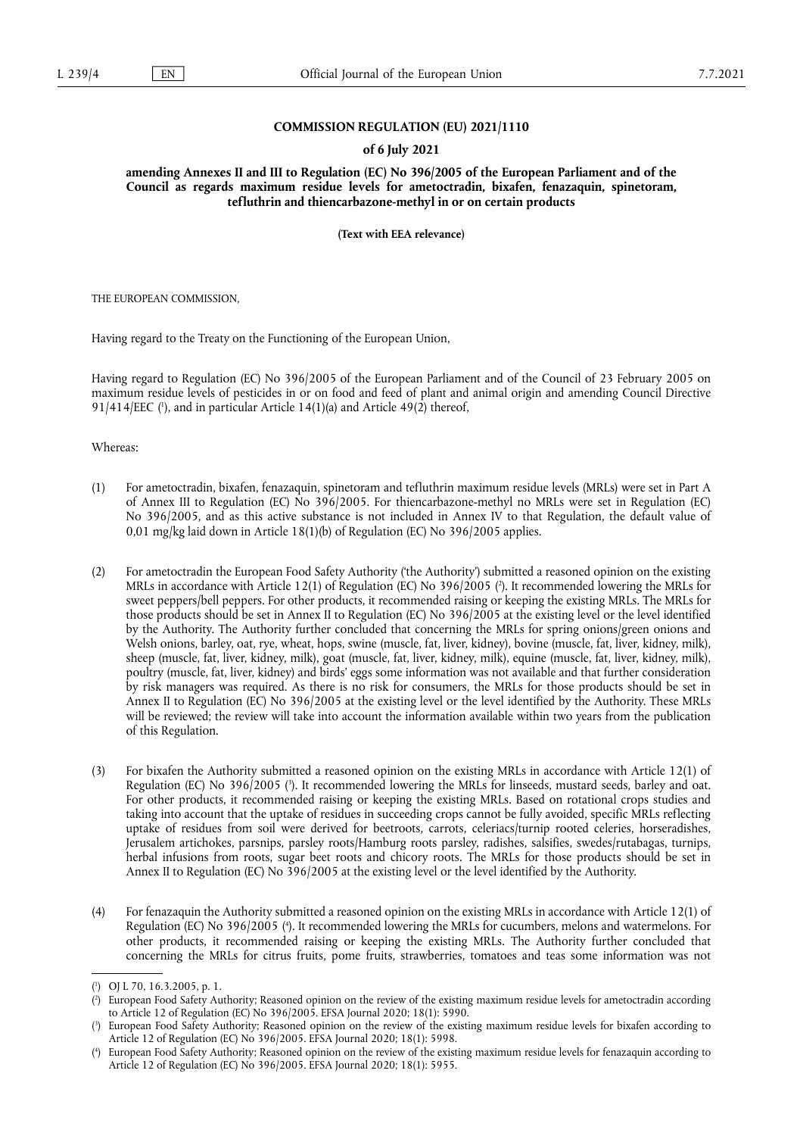## **COMMISSION REGULATION (EU) 2021/1110**

## **of 6 July 2021**

**amending Annexes II and III to Regulation (EC) No 396/2005 of the European Parliament and of the Council as regards maximum residue levels for ametoctradin, bixafen, fenazaquin, spinetoram, tefluthrin and thiencarbazone-methyl in or on certain products** 

**(Text with EEA relevance)** 

THE EUROPEAN COMMISSION,

Having regard to the Treaty on the Functioning of the European Union,

<span id="page-0-4"></span>Having regard to Regulation (EC) No 396/2005 of the European Parliament and of the Council of 23 February 2005 on maximum residue levels of pesticides in or on food and feed of plant and animal origin and amending Council Directive 91/414/EEC (1[\),](#page-0-0) and in particular Article 14(1)(a) and Article 49(2) thereof,

Whereas:

- (1) For ametoctradin, bixafen, fenazaquin, spinetoram and tefluthrin maximum residue levels (MRLs) were set in Part A of Annex III to Regulation (EC) No 396/2005. For thiencarbazone-methyl no MRLs were set in Regulation (EC) No 396/2005, and as this active substance is not included in Annex IV to that Regulation, the default value of 0,01 mg/kg laid down in Article 18(1)(b) of Regulation (EC) No 396/2005 applies.
- <span id="page-0-5"></span>(2) For ametoctradin the European Food Safety Authority ('the Authority') submitted a reasoned opinion on the existing MRLs in accordance with Article 12(1) of Regulation (EC) No 396/2005 ( 2 [\).](#page-0-1) It recommended lowering the MRLs for sweet peppers/bell peppers. For other products, it recommended raising or keeping the existing MRLs. The MRLs for those products should be set in Annex II to Regulation (EC) No 396/2005 at the existing level or the level identified by the Authority. The Authority further concluded that concerning the MRLs for spring onions/green onions and Welsh onions, barley, oat, rye, wheat, hops, swine (muscle, fat, liver, kidney), bovine (muscle, fat, liver, kidney, milk), sheep (muscle, fat, liver, kidney, milk), goat (muscle, fat, liver, kidney, milk), equine (muscle, fat, liver, kidney, milk), poultry (muscle, fat, liver, kidney) and birds' eggs some information was not available and that further consideration by risk managers was required. As there is no risk for consumers, the MRLs for those products should be set in Annex II to Regulation (EC) No 396/2005 at the existing level or the level identified by the Authority. These MRLs will be reviewed; the review will take into account the information available within two years from the publication of this Regulation.
- <span id="page-0-6"></span>(3) For bixafen the Authority submitted a reasoned opinion on the existing MRLs in accordance with Article 12(1) of Regulation (EC) No 396/2005 ( 3 [\).](#page-0-2) It recommended lowering the MRLs for linseeds, mustard seeds, barley and oat. For other products, it recommended raising or keeping the existing MRLs. Based on rotational crops studies and taking into account that the uptake of residues in succeeding crops cannot be fully avoided, specific MRLs reflecting uptake of residues from soil were derived for beetroots, carrots, celeriacs/turnip rooted celeries, horseradishes, Jerusalem artichokes, parsnips, parsley roots/Hamburg roots parsley, radishes, salsifies, swedes/rutabagas, turnips, herbal infusions from roots, sugar beet roots and chicory roots. The MRLs for those products should be set in Annex II to Regulation (EC) No 396/2005 at the existing level or the level identified by the Authority.
- <span id="page-0-7"></span>(4) For fenazaquin the Authority submitted a reasoned opinion on the existing MRLs in accordance with Article 12(1) of Regulation (EC) No 396/2005 ( 4 [\).](#page-0-3) It recommended lowering the MRLs for cucumbers, melons and watermelons. For other products, it recommended raising or keeping the existing MRLs. The Authority further concluded that concerning the MRLs for citrus fruits, pome fruits, strawberries, tomatoes and teas some information was not

<span id="page-0-0"></span>[<sup>\(</sup>](#page-0-4) 1 ) OJ L 70, 16.3.2005, p. 1.

<span id="page-0-1"></span>[<sup>\(</sup>](#page-0-5) 2 ) European Food Safety Authority; Reasoned opinion on the review of the existing maximum residue levels for ametoctradin according to Article 12 of Regulation (EC) No 396/2005. EFSA Journal 2020; 18(1): 5990.

<span id="page-0-2"></span>[<sup>\(</sup>](#page-0-6) 3 ) European Food Safety Authority; Reasoned opinion on the review of the existing maximum residue levels for bixafen according to Article 12 of Regulation (EC) No 396/2005. EFSA Journal 2020; 18(1): 5998.

<span id="page-0-3"></span>[<sup>\(</sup>](#page-0-7) 4 ) European Food Safety Authority; Reasoned opinion on the review of the existing maximum residue levels for fenazaquin according to Article 12 of Regulation (EC) No 396/2005. EFSA Journal 2020; 18(1): 5955.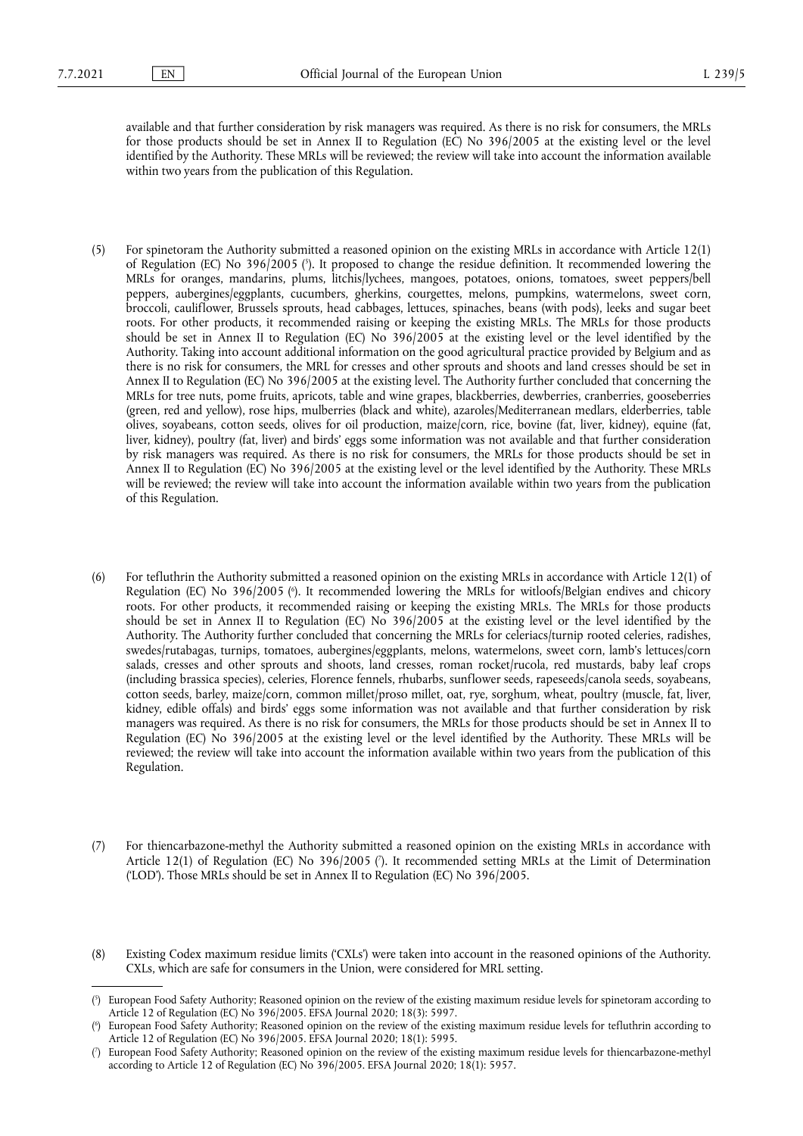available and that further consideration by risk managers was required. As there is no risk for consumers, the MRLs for those products should be set in Annex II to Regulation (EC) No 396/2005 at the existing level or the level identified by the Authority. These MRLs will be reviewed; the review will take into account the information available within two years from the publication of this Regulation.

- <span id="page-1-3"></span>(5) For spinetoram the Authority submitted a reasoned opinion on the existing MRLs in accordance with Article 12(1) of Regulation (EC) No 396/2005 [\(](#page-1-0) 5 ). It proposed to change the residue definition. It recommended lowering the MRLs for oranges, mandarins, plums, litchis/lychees, mangoes, potatoes, onions, tomatoes, sweet peppers/bell peppers, aubergines/eggplants, cucumbers, gherkins, courgettes, melons, pumpkins, watermelons, sweet corn, broccoli, cauliflower, Brussels sprouts, head cabbages, lettuces, spinaches, beans (with pods), leeks and sugar beet roots. For other products, it recommended raising or keeping the existing MRLs. The MRLs for those products should be set in Annex II to Regulation (EC) No 396/2005 at the existing level or the level identified by the Authority. Taking into account additional information on the good agricultural practice provided by Belgium and as there is no risk for consumers, the MRL for cresses and other sprouts and shoots and land cresses should be set in Annex II to Regulation (EC) No 396/2005 at the existing level. The Authority further concluded that concerning the MRLs for tree nuts, pome fruits, apricots, table and wine grapes, blackberries, dewberries, cranberries, gooseberries (green, red and yellow), rose hips, mulberries (black and white), azaroles/Mediterranean medlars, elderberries, table olives, soyabeans, cotton seeds, olives for oil production, maize/corn, rice, bovine (fat, liver, kidney), equine (fat, liver, kidney), poultry (fat, liver) and birds' eggs some information was not available and that further consideration by risk managers was required. As there is no risk for consumers, the MRLs for those products should be set in Annex II to Regulation (EC) No 396/2005 at the existing level or the level identified by the Authority. These MRLs will be reviewed; the review will take into account the information available within two years from the publication of this Regulation.
- <span id="page-1-4"></span>(6) For tefluthrin the Authority submitted a reasoned opinion on the existing MRLs in accordance with Article 12(1) of Regulation (EC) No 396/2005 [\(](#page-1-1) 6 ). It recommended lowering the MRLs for witloofs/Belgian endives and chicory roots. For other products, it recommended raising or keeping the existing MRLs. The MRLs for those products should be set in Annex II to Regulation (EC) No 396/2005 at the existing level or the level identified by the Authority. The Authority further concluded that concerning the MRLs for celeriacs/turnip rooted celeries, radishes, swedes/rutabagas, turnips, tomatoes, aubergines/eggplants, melons, watermelons, sweet corn, lamb's lettuces/corn salads, cresses and other sprouts and shoots, land cresses, roman rocket/rucola, red mustards, baby leaf crops (including brassica species), celeries, Florence fennels, rhubarbs, sunflower seeds, rapeseeds/canola seeds, soyabeans, cotton seeds, barley, maize/corn, common millet/proso millet, oat, rye, sorghum, wheat, poultry (muscle, fat, liver, kidney, edible offals) and birds' eggs some information was not available and that further consideration by risk managers was required. As there is no risk for consumers, the MRLs for those products should be set in Annex II to Regulation (EC) No 396/2005 at the existing level or the level identified by the Authority. These MRLs will be reviewed; the review will take into account the information available within two years from the publication of this Regulation.
- <span id="page-1-5"></span>(7) For thiencarbazone-methyl the Authority submitted a reasoned opinion on the existing MRLs in accordance with Article 12(1) of Regulation (EC) No 396/2005 ( 7 [\).](#page-1-2) It recommended setting MRLs at the Limit of Determination ('LOD'). Those MRLs should be set in Annex II to Regulation (EC) No 396/2005.
- (8) Existing Codex maximum residue limits ('CXLs') were taken into account in the reasoned opinions of the Authority. CXLs, which are safe for consumers in the Union, were considered for MRL setting.

<span id="page-1-0"></span>[<sup>\(</sup>](#page-1-3) 5 ) European Food Safety Authority; Reasoned opinion on the review of the existing maximum residue levels for spinetoram according to Article 12 of Regulation (EC) No 396/2005. EFSA Journal 2020; 18(3): 5997.

<span id="page-1-1"></span>[<sup>\(</sup>](#page-1-4) 6 ) European Food Safety Authority; Reasoned opinion on the review of the existing maximum residue levels for tefluthrin according to Article 12 of Regulation (EC) No 396/2005. EFSA Journal 2020; 18(1): 5995.

<span id="page-1-2"></span>[<sup>\(</sup>](#page-1-5) 7 ) European Food Safety Authority; Reasoned opinion on the review of the existing maximum residue levels for thiencarbazone-methyl according to Article 12 of Regulation (EC) No 396/2005. EFSA Journal 2020; 18(1): 5957.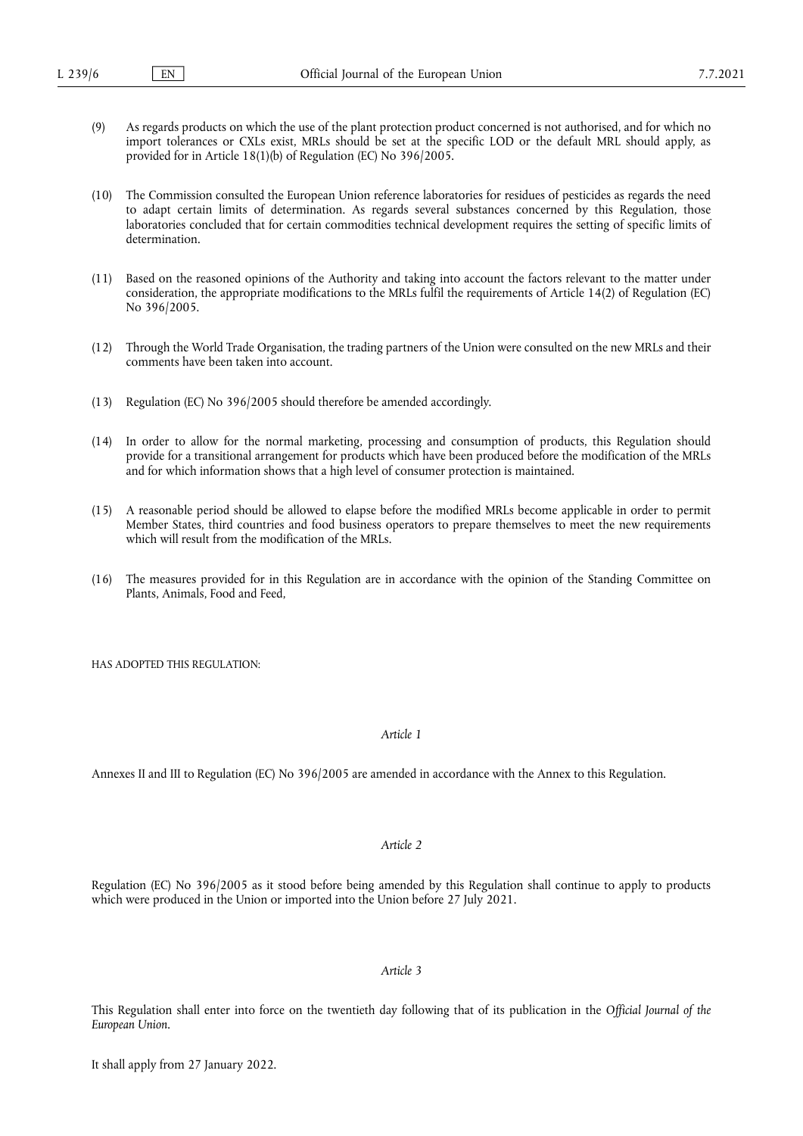- (9) As regards products on which the use of the plant protection product concerned is not authorised, and for which no import tolerances or CXLs exist, MRLs should be set at the specific LOD or the default MRL should apply, as provided for in Article 18(1)(b) of Regulation (EC) No 396/2005.
- (10) The Commission consulted the European Union reference laboratories for residues of pesticides as regards the need to adapt certain limits of determination. As regards several substances concerned by this Regulation, those laboratories concluded that for certain commodities technical development requires the setting of specific limits of determination.
- (11) Based on the reasoned opinions of the Authority and taking into account the factors relevant to the matter under consideration, the appropriate modifications to the MRLs fulfil the requirements of Article 14(2) of Regulation (EC) No 396/2005.
- (12) Through the World Trade Organisation, the trading partners of the Union were consulted on the new MRLs and their comments have been taken into account.
- (13) Regulation (EC) No 396/2005 should therefore be amended accordingly.
- (14) In order to allow for the normal marketing, processing and consumption of products, this Regulation should provide for a transitional arrangement for products which have been produced before the modification of the MRLs and for which information shows that a high level of consumer protection is maintained.
- (15) A reasonable period should be allowed to elapse before the modified MRLs become applicable in order to permit Member States, third countries and food business operators to prepare themselves to meet the new requirements which will result from the modification of the MRLs.
- (16) The measures provided for in this Regulation are in accordance with the opinion of the Standing Committee on Plants, Animals, Food and Feed,

HAS ADOPTED THIS REGULATION:

# *Article 1*

Annexes II and III to Regulation (EC) No 396/2005 are amended in accordance with the Annex to this Regulation.

## *Article 2*

Regulation (EC) No 396/2005 as it stood before being amended by this Regulation shall continue to apply to products which were produced in the Union or imported into the Union before 27 July 2021.

## *Article 3*

This Regulation shall enter into force on the twentieth day following that of its publication in the *Official Journal of the European Union*.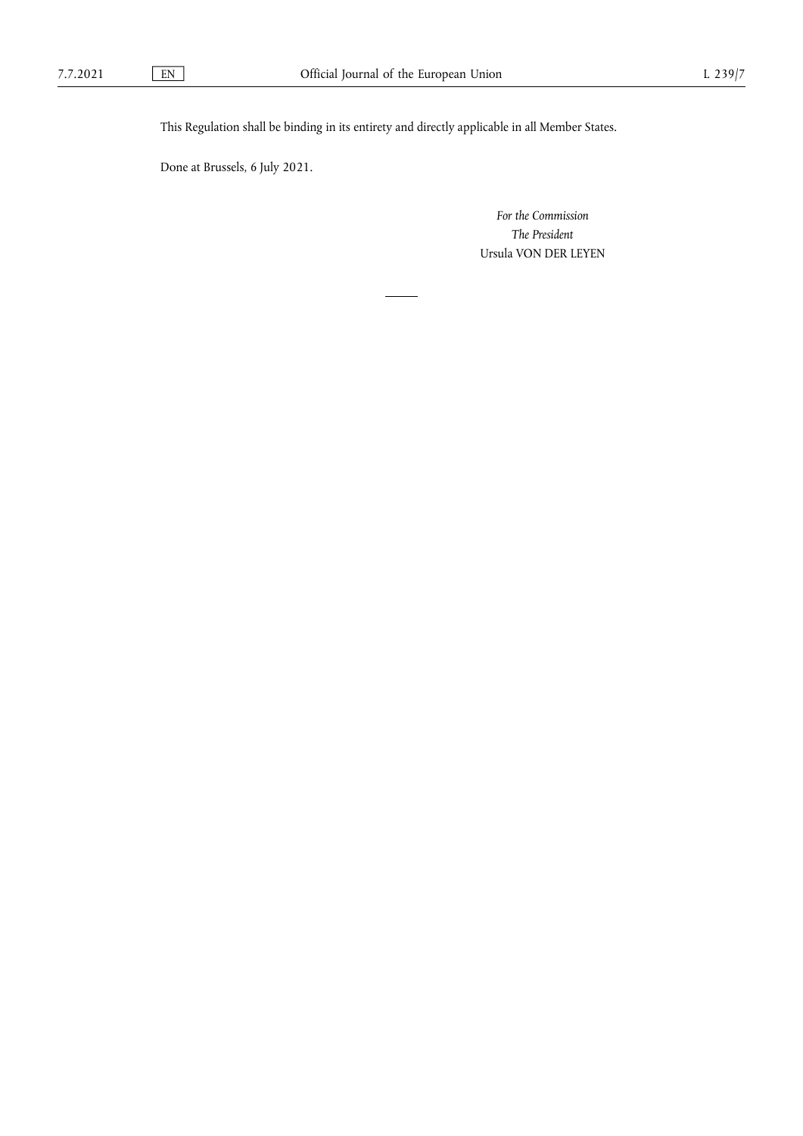This Regulation shall be binding in its entirety and directly applicable in all Member States.

Done at Brussels, 6 July 2021.

*For the Commission The President* Ursula VON DER LEYEN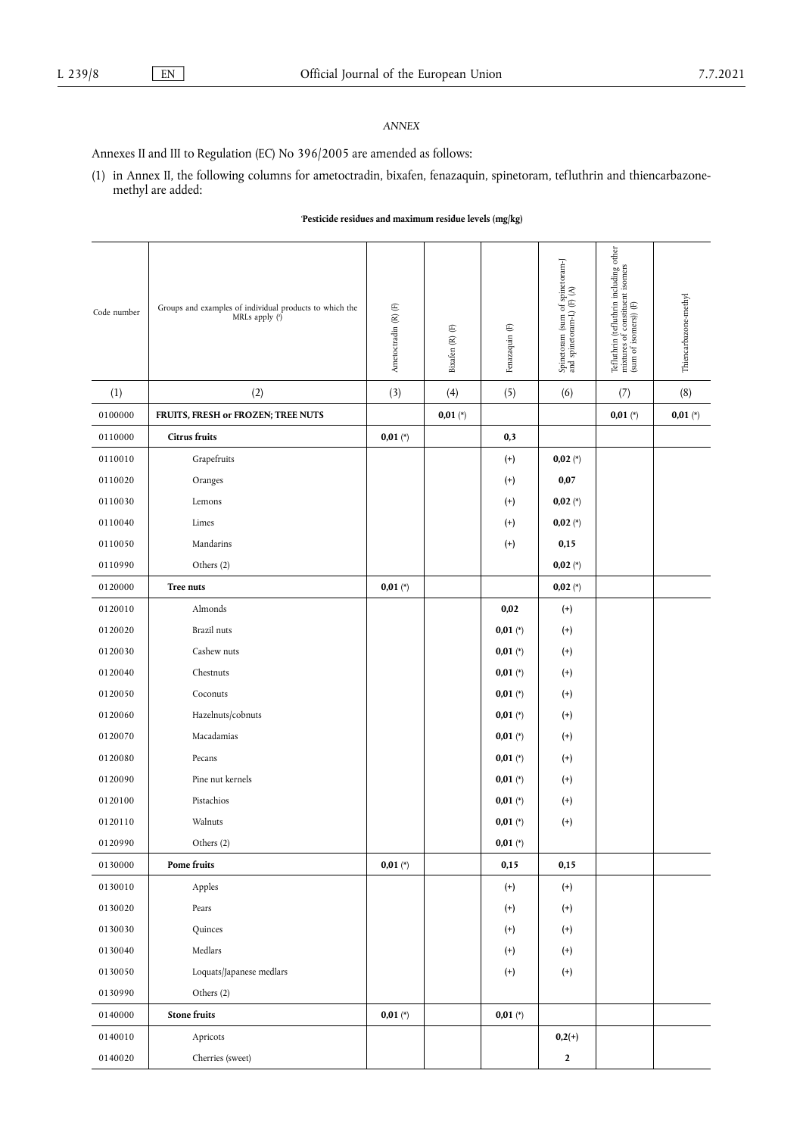# *ANNEX*

Annexes II and III to Regulation (EC) No 396/2005 are amended as follows:

(1) in Annex II, the following columns for ametoctradin, bixafen, fenazaquin, spinetoram, tefluthrin and thiencarbazonemethyl are added:

## <span id="page-4-0"></span>'**Pesticide residues and maximum residue levels (mg/kg)**

<span id="page-4-1"></span>

| Code number | Groups and examples of individual products to which the<br>MRLs apply (a) | Ametoctradin (R) (F) | Bixafen $(\mathbb{R})$<br>$(\mathbb{F})$ | Fenazaquin (F)     | Spinetoram (sum of spinetoram-J<br>and spinetoram-L) (F) $(\mathsf{A})$ | Tefluthrin (tefluthrin including other mixtures of constituent isomers<br>(sum of isomers)) (F) | Thiencarbazone-methyl |
|-------------|---------------------------------------------------------------------------|----------------------|------------------------------------------|--------------------|-------------------------------------------------------------------------|-------------------------------------------------------------------------------------------------|-----------------------|
| (1)         | (2)                                                                       | (3)                  | (4)                                      | (5)                | (6)                                                                     | (7)                                                                                             | (8)                   |
| 0100000     | FRUITS, FRESH or FROZEN; TREE NUTS                                        |                      | $0,01 (*)$                               |                    |                                                                         | $0,01 (*)$                                                                                      | $0,01 (*)$            |
| 0110000     | <b>Citrus fruits</b>                                                      | $0,01 (*)$           |                                          | 0,3                |                                                                         |                                                                                                 |                       |
| 0110010     | Grapefruits                                                               |                      |                                          | $^{(+)}$           | $0,02 (*)$                                                              |                                                                                                 |                       |
| 0110020     | Oranges                                                                   |                      |                                          | $^{(+)}$           | 0,07                                                                    |                                                                                                 |                       |
| 0110030     | Lemons                                                                    |                      |                                          | $^{(+)}$           | $0,02 (*)$                                                              |                                                                                                 |                       |
| 0110040     | Limes                                                                     |                      |                                          | $^{(+)}$           | $0,02 (*)$                                                              |                                                                                                 |                       |
| 0110050     | Mandarins                                                                 |                      |                                          | $^{(+)}$           | 0,15                                                                    |                                                                                                 |                       |
| 0110990     | Others (2)                                                                |                      |                                          |                    | $0,02 (*)$                                                              |                                                                                                 |                       |
| 0120000     | <b>Tree nuts</b>                                                          | $0,01 (*)$           |                                          |                    | $0,02 (*)$                                                              |                                                                                                 |                       |
| 0120010     | Almonds                                                                   |                      |                                          | 0,02               | $^{(+)}$                                                                |                                                                                                 |                       |
| 0120020     | <b>Brazil</b> nuts                                                        |                      |                                          | $0,01 (*)$         | $^{(+)}$                                                                |                                                                                                 |                       |
| 0120030     | Cashew nuts                                                               |                      |                                          | $0,01 (*)$         | $^{(+)}$                                                                |                                                                                                 |                       |
| 0120040     | Chestnuts                                                                 |                      |                                          | $0,01 (*)$         | $^{(+)}$                                                                |                                                                                                 |                       |
| 0120050     | Coconuts                                                                  |                      |                                          | $0,01 (*)$         | $^{(+)}$                                                                |                                                                                                 |                       |
| 0120060     | Hazelnuts/cobnuts                                                         |                      |                                          | $0,01 (*)$         | $^{(+)}$                                                                |                                                                                                 |                       |
| 0120070     | Macadamias                                                                |                      |                                          | $0,01 (*)$         | $^{(+)}$                                                                |                                                                                                 |                       |
| 0120080     | Pecans                                                                    |                      |                                          | $0,01 (*)$         | $^{(+)}$                                                                |                                                                                                 |                       |
| 0120090     | Pine nut kernels                                                          |                      |                                          | $0,01 (*)$         | $^{(+)}$                                                                |                                                                                                 |                       |
| 0120100     | Pistachios                                                                |                      |                                          | $0,01 (*)$         | $^{(+)}$                                                                |                                                                                                 |                       |
| 0120110     | Walnuts                                                                   |                      |                                          | $0,01 (*)$         | $^{(+)}$                                                                |                                                                                                 |                       |
| 0120990     | Others (2)                                                                |                      |                                          | $0,\!01$ $(^\ast)$ |                                                                         |                                                                                                 |                       |
| 0130000     | Pome fruits                                                               | $0,01 (*)$           |                                          | 0,15               | 0,15                                                                    |                                                                                                 |                       |
| 0130010     | Apples                                                                    |                      |                                          | $^{(+)}$           | $^{(+)}$                                                                |                                                                                                 |                       |
| 0130020     | Pears                                                                     |                      |                                          | $^{(+)}$           | $^{(+)}$                                                                |                                                                                                 |                       |
| 0130030     | Quinces                                                                   |                      |                                          | $^{(+)}$           | $^{(+)}$                                                                |                                                                                                 |                       |
| 0130040     | Medlars                                                                   |                      |                                          | $^{(+)}$           | $^{(+)}$                                                                |                                                                                                 |                       |
| 0130050     | Loquats/Japanese medlars                                                  |                      |                                          | $^{(+)}$           | $^{(+)}$                                                                |                                                                                                 |                       |
| 0130990     | Others (2)                                                                |                      |                                          |                    |                                                                         |                                                                                                 |                       |
| 0140000     | <b>Stone fruits</b>                                                       | $0,01 (*)$           |                                          | $0,01 (*)$         |                                                                         |                                                                                                 |                       |
| 0140010     | Apricots                                                                  |                      |                                          |                    | $0,2(+)$                                                                |                                                                                                 |                       |
| 0140020     | Cherries (sweet)                                                          |                      |                                          |                    | $\boldsymbol{2}$                                                        |                                                                                                 |                       |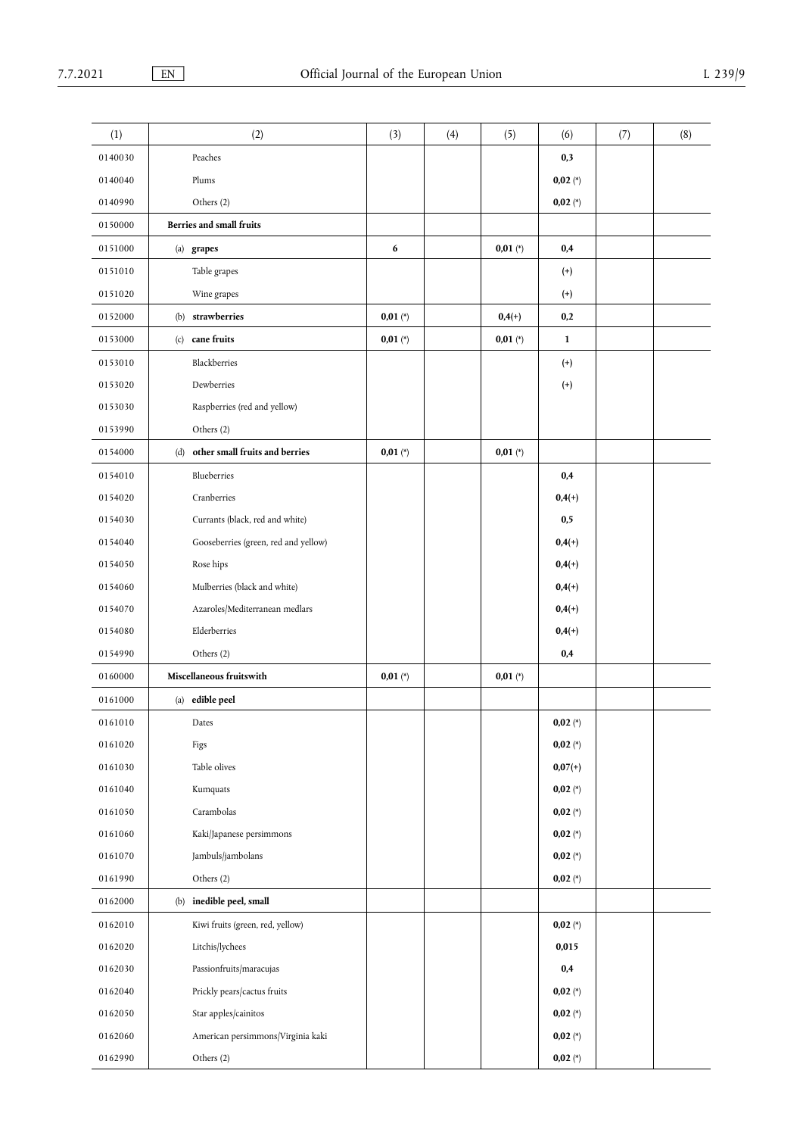| (1)     | (2)                                  | (3)        | (4) | (5)        | (6)          | (7) | (8) |
|---------|--------------------------------------|------------|-----|------------|--------------|-----|-----|
| 0140030 | Peaches                              |            |     |            | 0,3          |     |     |
| 0140040 | Plums                                |            |     |            | $0,02 (*)$   |     |     |
| 0140990 | Others (2)                           |            |     |            | $0,02 (*)$   |     |     |
| 0150000 | <b>Berries and small fruits</b>      |            |     |            |              |     |     |
| 0151000 | (a) grapes                           | 6          |     | $0,01 (*)$ | 0,4          |     |     |
| 0151010 | Table grapes                         |            |     |            | $^{(+)}$     |     |     |
| 0151020 | Wine grapes                          |            |     |            | $^{(+)}$     |     |     |
| 0152000 | (b) strawberries                     | $0,01 (*)$ |     | $0,4(+)$   | 0,2          |     |     |
| 0153000 | (c) cane fruits                      | $0,01 (*)$ |     | $0,01 (*)$ | $\mathbf{1}$ |     |     |
| 0153010 | Blackberries                         |            |     |            | $^{(+)}$     |     |     |
| 0153020 | Dewberries                           |            |     |            | $^{(+)}$     |     |     |
| 0153030 | Raspberries (red and yellow)         |            |     |            |              |     |     |
| 0153990 | Others (2)                           |            |     |            |              |     |     |
| 0154000 | (d) other small fruits and berries   | $0,01 (*)$ |     | $0,01 (*)$ |              |     |     |
| 0154010 | Blueberries                          |            |     |            | 0,4          |     |     |
| 0154020 | Cranberries                          |            |     |            | $0,4(+)$     |     |     |
| 0154030 | Currants (black, red and white)      |            |     |            | 0,5          |     |     |
| 0154040 | Gooseberries (green, red and yellow) |            |     |            | $0,4(+)$     |     |     |
| 0154050 | Rose hips                            |            |     |            | $0,4(+)$     |     |     |
| 0154060 | Mulberries (black and white)         |            |     |            | $0,4(+)$     |     |     |
| 0154070 | Azaroles/Mediterranean medlars       |            |     |            | $0,4(+)$     |     |     |
| 0154080 | Elderberries                         |            |     |            | $0,4(+)$     |     |     |
| 0154990 | Others (2)                           |            |     |            | 0,4          |     |     |
| 0160000 | Miscellaneous fruitswith             | $0,01 (*)$ |     | $0,01 (*)$ |              |     |     |
| 0161000 | (a) edible peel                      |            |     |            |              |     |     |
| 0161010 | Dates                                |            |     |            | 0,02 $(*)$   |     |     |
| 0161020 | Figs                                 |            |     |            | $0,02 (*)$   |     |     |
| 0161030 | Table olives                         |            |     |            | $0,07(+)$    |     |     |
| 0161040 | Kumquats                             |            |     |            | $0,02 (*)$   |     |     |
| 0161050 | Carambolas                           |            |     |            | $0,02 (*)$   |     |     |
| 0161060 | Kaki/Japanese persimmons             |            |     |            | $0,02 (*)$   |     |     |
| 0161070 | Jambuls/jambolans                    |            |     |            | $0,02 (*)$   |     |     |
| 0161990 | Others (2)                           |            |     |            | $0,02 (*)$   |     |     |
| 0162000 | (b) inedible peel, small             |            |     |            |              |     |     |
| 0162010 | Kiwi fruits (green, red, yellow)     |            |     |            | $0,02 (*)$   |     |     |
| 0162020 | Litchis/lychees                      |            |     |            | 0,015        |     |     |
| 0162030 | Passionfruits/maracujas              |            |     |            | 0,4          |     |     |
| 0162040 | Prickly pears/cactus fruits          |            |     |            | $0,02 (*)$   |     |     |
| 0162050 | Star apples/cainitos                 |            |     |            | $0,02 (*)$   |     |     |
| 0162060 | American persimmons/Virginia kaki    |            |     |            | $0,02 (*)$   |     |     |
| 0162990 | Others (2)                           |            |     |            | $0,02 (*)$   |     |     |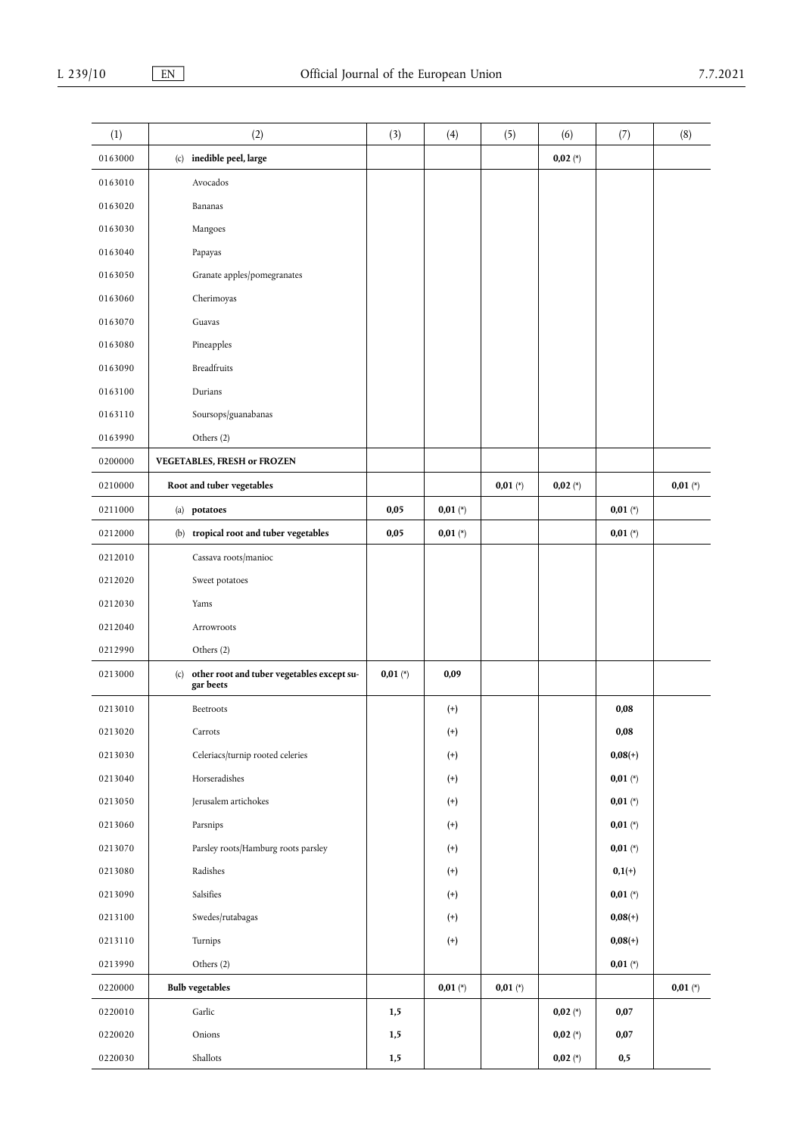| (1)     | (2)                                                            | (3)        | (4)          | (5)        | (6)        | (7)        | (8)        |
|---------|----------------------------------------------------------------|------------|--------------|------------|------------|------------|------------|
| 0163000 | (c) inedible peel, large                                       |            |              |            | $0,02 (*)$ |            |            |
| 0163010 | Avocados                                                       |            |              |            |            |            |            |
| 0163020 | Bananas                                                        |            |              |            |            |            |            |
| 0163030 | Mangoes                                                        |            |              |            |            |            |            |
| 0163040 | Papayas                                                        |            |              |            |            |            |            |
| 0163050 | Granate apples/pomegranates                                    |            |              |            |            |            |            |
| 0163060 | Cherimoyas                                                     |            |              |            |            |            |            |
| 0163070 | Guavas                                                         |            |              |            |            |            |            |
| 0163080 | Pineapples                                                     |            |              |            |            |            |            |
| 0163090 | <b>Breadfruits</b>                                             |            |              |            |            |            |            |
| 0163100 | Durians                                                        |            |              |            |            |            |            |
| 0163110 | Soursops/guanabanas                                            |            |              |            |            |            |            |
| 0163990 | Others (2)                                                     |            |              |            |            |            |            |
| 0200000 | <b>VEGETABLES, FRESH or FROZEN</b>                             |            |              |            |            |            |            |
| 0210000 | Root and tuber vegetables                                      |            |              | $0,01 (*)$ | $0,02 (*)$ |            | $0,01 (*)$ |
| 0211000 | (a) potatoes                                                   | 0,05       | $0,01 (*)$   |            |            | $0,01 (*)$ |            |
| 0212000 | (b) tropical root and tuber vegetables                         | 0,05       | $0,01 (*)$   |            |            | $0,01 (*)$ |            |
| 0212010 | Cassava roots/manioc                                           |            |              |            |            |            |            |
| 0212020 | Sweet potatoes                                                 |            |              |            |            |            |            |
| 0212030 | Yams                                                           |            |              |            |            |            |            |
| 0212040 | Arrowroots                                                     |            |              |            |            |            |            |
| 0212990 | Others (2)                                                     |            |              |            |            |            |            |
| 0213000 | other root and tuber vegetables except su-<br>(c)<br>gar beets | $0,01 (*)$ | 0,09         |            |            |            |            |
| 0213010 | Beetroots                                                      |            | $^{(+)}$     |            |            | 0,08       |            |
| 0213020 | Carrots                                                        |            | $^{(\rm +)}$ |            |            | $0,\!08$   |            |
| 0213030 | Celeriacs/turnip rooted celeries                               |            | $^{(+)}$     |            |            | $0,08(+)$  |            |
| 0213040 | Horseradishes                                                  |            | $^{(+)}$     |            |            | $0,01 (*)$ |            |
| 0213050 | Jerusalem artichokes                                           |            | $^{(+)}$     |            |            | $0,01 (*)$ |            |
| 0213060 | Parsnips                                                       |            | $^{(+)}$     |            |            | $0,01 (*)$ |            |
| 0213070 | Parsley roots/Hamburg roots parsley                            |            | $^{(+)}$     |            |            | $0,01 (*)$ |            |
| 0213080 | Radishes                                                       |            | $^{(+)}$     |            |            | $0,1(+)$   |            |
| 0213090 | Salsifies                                                      |            | $^{(+)}$     |            |            | $0,01 (*)$ |            |
| 0213100 | Swedes/rutabagas                                               |            | $^{(+)}$     |            |            | $0,08(+)$  |            |
| 0213110 | Turnips                                                        |            | $^{(+)}$     |            |            | $0,08(+)$  |            |
| 0213990 | Others (2)                                                     |            |              |            |            | $0,01 (*)$ |            |
| 0220000 | <b>Bulb vegetables</b>                                         |            | $0,01 (*)$   | $0,01 (*)$ |            |            | $0,01 (*)$ |
| 0220010 | Garlic                                                         | 1,5        |              |            | $0,02 (*)$ | 0,07       |            |
| 0220020 | Onions                                                         | 1,5        |              |            | $0,02 (*)$ | 0,07       |            |
| 0220030 | Shallots                                                       | $1,5$      |              |            | 0,02 $(*)$ | $0,5$      |            |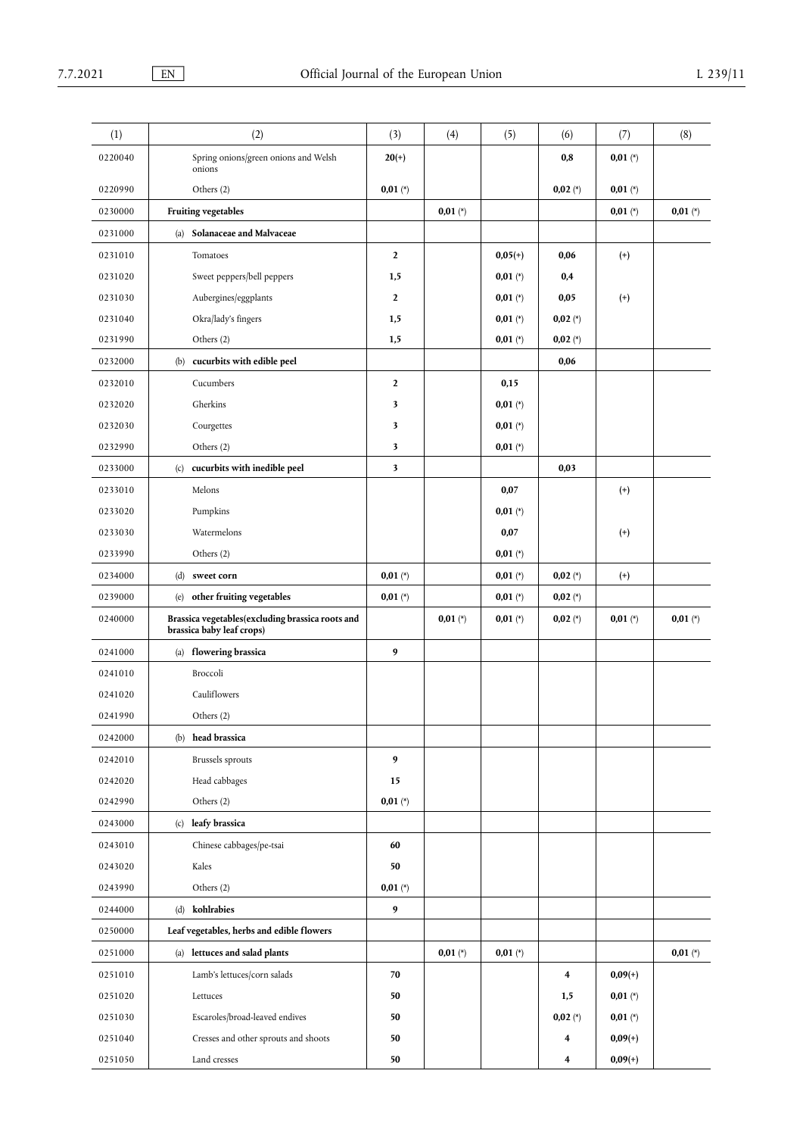| (1)     | (2)                                                                           | (3)            | (4)        | (5)        | (6)        | (7)        | (8)        |
|---------|-------------------------------------------------------------------------------|----------------|------------|------------|------------|------------|------------|
| 0220040 | Spring onions/green onions and Welsh<br>onions                                | $20(+)$        |            |            | 0,8        | $0,01 (*)$ |            |
| 0220990 | Others (2)                                                                    | $0,01 (*)$     |            |            | $0,02 (*)$ | $0,01 (*)$ |            |
| 0230000 | Fruiting vegetables                                                           |                | $0,01$ (*) |            |            | $0,01 (*)$ | $0,01 (*)$ |
| 0231000 | (a) Solanaceae and Malvaceae                                                  |                |            |            |            |            |            |
| 0231010 | Tomatoes                                                                      | $\mathbf{2}$   |            | $0,05(+)$  | 0,06       | $^{(+)}$   |            |
| 0231020 | Sweet peppers/bell peppers                                                    | 1,5            |            | $0,01 (*)$ | 0,4        |            |            |
| 0231030 | Aubergines/eggplants                                                          | $\mathbf{2}$   |            | $0,01 (*)$ | 0,05       | $^{(+)}$   |            |
| 0231040 | Okra/lady's fingers                                                           | 1,5            |            | $0,01 (*)$ | $0,02 (*)$ |            |            |
| 0231990 | Others (2)                                                                    | 1,5            |            | $0,01 (*)$ | $0,02 (*)$ |            |            |
| 0232000 | (b) cucurbits with edible peel                                                |                |            |            | 0,06       |            |            |
| 0232010 | Cucumbers                                                                     | $\overline{2}$ |            | 0,15       |            |            |            |
| 0232020 | Gherkins                                                                      | 3              |            | $0,01 (*)$ |            |            |            |
| 0232030 | Courgettes                                                                    | 3              |            | $0,01 (*)$ |            |            |            |
| 0232990 | Others (2)                                                                    | 3              |            | $0,01 (*)$ |            |            |            |
| 0233000 | (c) cucurbits with inedible peel                                              | 3              |            |            | 0,03       |            |            |
| 0233010 | Melons                                                                        |                |            | 0,07       |            | $^{(+)}$   |            |
| 0233020 | Pumpkins                                                                      |                |            | $0,01 (*)$ |            |            |            |
| 0233030 | Watermelons                                                                   |                |            | 0,07       |            | $^{(+)}$   |            |
| 0233990 | Others (2)                                                                    |                |            | $0,01 (*)$ |            |            |            |
| 0234000 | (d) sweet corn                                                                | $0,01 (*)$     |            | $0,01 (*)$ | $0,02 (*)$ | $^{(+)}$   |            |
| 0239000 | (e) other fruiting vegetables                                                 | $0,01 (*)$     |            | $0,01 (*)$ | $0,02 (*)$ |            |            |
| 0240000 | Brassica vegetables(excluding brassica roots and<br>brassica baby leaf crops) |                | $0,01 (*)$ | $0,01 (*)$ | $0,02 (*)$ | $0,01 (*)$ | $0,01 (*)$ |
| 0241000 | flowering brassica<br>(a)                                                     | 9              |            |            |            |            |            |
| 0241010 | Broccoli                                                                      |                |            |            |            |            |            |
| 0241020 | Cauliflowers                                                                  |                |            |            |            |            |            |
| 0241990 | Others (2)                                                                    |                |            |            |            |            |            |
| 0242000 | (b) head brassica                                                             |                |            |            |            |            |            |
| 0242010 | <b>Brussels</b> sprouts                                                       | 9              |            |            |            |            |            |
| 0242020 | Head cabbages                                                                 | 15             |            |            |            |            |            |
| 0242990 | Others (2)                                                                    | $0,01 (*)$     |            |            |            |            |            |
| 0243000 | (c) leafy brassica                                                            |                |            |            |            |            |            |
| 0243010 | Chinese cabbages/pe-tsai                                                      | 60             |            |            |            |            |            |
| 0243020 | Kales                                                                         | 50             |            |            |            |            |            |
| 0243990 | Others (2)                                                                    | $0,01 (*)$     |            |            |            |            |            |
| 0244000 | (d) kohlrabies                                                                | 9              |            |            |            |            |            |
| 0250000 | Leaf vegetables, herbs and edible flowers                                     |                |            |            |            |            |            |
| 0251000 | (a) lettuces and salad plants                                                 |                | $0,01 (*)$ | $0,01 (*)$ |            |            | $0,01 (*)$ |
| 0251010 | Lamb's lettuces/corn salads                                                   | 70             |            |            | 4          | $0,09(+)$  |            |
| 0251020 | Lettuces                                                                      | 50             |            |            | 1,5        | $0,01 (*)$ |            |
| 0251030 | Escaroles/broad-leaved endives                                                | 50             |            |            | $0,02 (*)$ | $0,01 (*)$ |            |
| 0251040 | Cresses and other sprouts and shoots                                          | 50             |            |            | 4          | $0,09(+)$  |            |
| 0251050 | Land cresses                                                                  | 50             |            |            | 4          | $0,09(+)$  |            |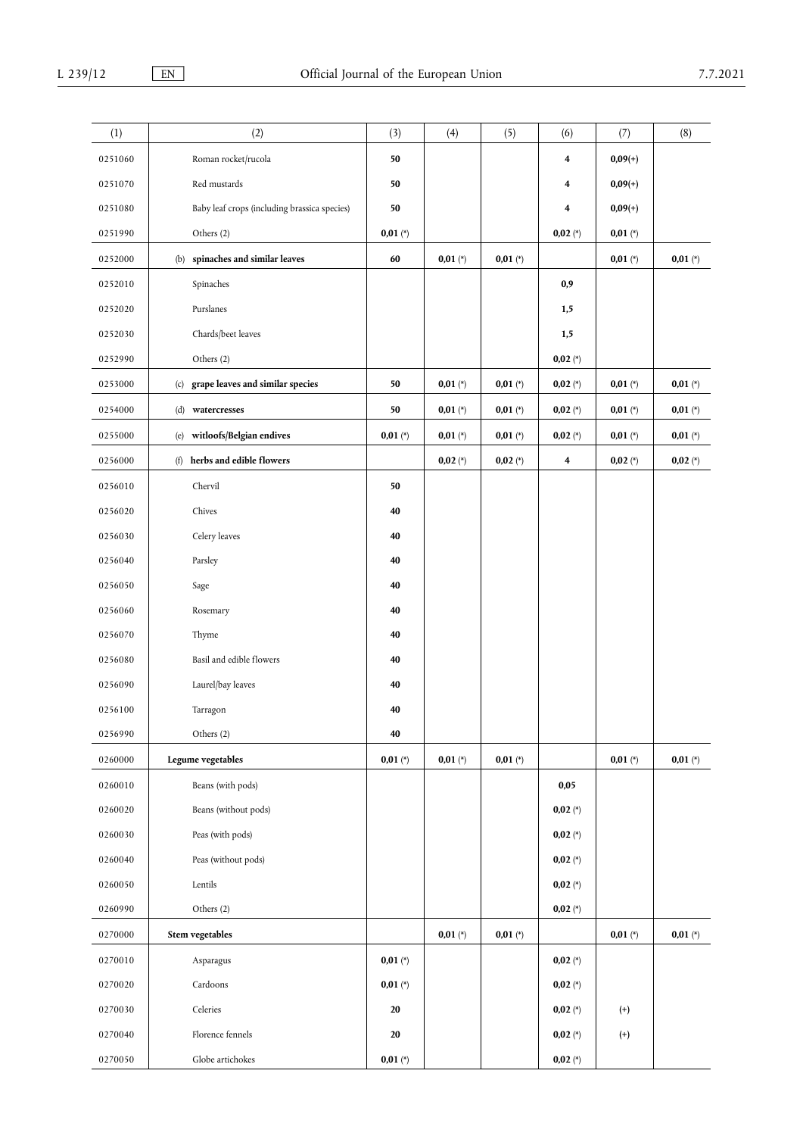| (1)     | (2)                                          | (3)        | (4)        | (5)        | (6)        | (7)        | (8)        |
|---------|----------------------------------------------|------------|------------|------------|------------|------------|------------|
| 0251060 | Roman rocket/rucola                          | 50         |            |            | 4          | $0,09(+)$  |            |
| 0251070 | Red mustards                                 | 50         |            |            | 4          | $0,09(+)$  |            |
| 0251080 | Baby leaf crops (including brassica species) | 50         |            |            | 4          | $0,09(+)$  |            |
| 0251990 | Others (2)                                   | $0,01 (*)$ |            |            | $0,02 (*)$ | $0,01 (*)$ |            |
| 0252000 | (b) spinaches and similar leaves             | 60         | $0,01 (*)$ | $0,01 (*)$ |            | $0,01 (*)$ | $0,01 (*)$ |
| 0252010 | Spinaches                                    |            |            |            | 0,9        |            |            |
| 0252020 | Purslanes                                    |            |            |            | 1,5        |            |            |
| 0252030 | Chards/beet leaves                           |            |            |            | 1,5        |            |            |
| 0252990 | Others (2)                                   |            |            |            | $0,02 (*)$ |            |            |
| 0253000 | (c) grape leaves and similar species         | 50         | $0,01 (*)$ | $0,01 (*)$ | $0,02 (*)$ | $0,01 (*)$ | $0,01 (*)$ |
| 0254000 | (d) watercresses                             | 50         | $0,01 (*)$ | $0,01 (*)$ | $0,02 (*)$ | $0,01 (*)$ | $0,01 (*)$ |
| 0255000 | witloofs/Belgian endives<br>(e)              | $0,01 (*)$ | $0,01 (*)$ | $0,01 (*)$ | $0,02 (*)$ | $0,01 (*)$ | $0,01 (*)$ |
| 0256000 | (f) herbs and edible flowers                 |            | $0,02 (*)$ | $0,02 (*)$ | 4          | $0,02 (*)$ | $0,02 (*)$ |
| 0256010 | Chervil                                      | 50         |            |            |            |            |            |
| 0256020 | Chives                                       | 40         |            |            |            |            |            |
| 0256030 | Celery leaves                                | 40         |            |            |            |            |            |
| 0256040 | Parsley                                      | 40         |            |            |            |            |            |
| 0256050 | Sage                                         | 40         |            |            |            |            |            |
| 0256060 | Rosemary                                     | 40         |            |            |            |            |            |
| 0256070 | Thyme                                        | 40         |            |            |            |            |            |
| 0256080 | Basil and edible flowers                     | 40         |            |            |            |            |            |
| 0256090 | Laurel/bay leaves                            | 40         |            |            |            |            |            |
| 0256100 | Tarragon                                     | 40         |            |            |            |            |            |
| 0256990 | Others (2)                                   | 40         |            |            |            |            |            |
| 0260000 | Legume vegetables                            | $0,01 (*)$ | $0,01 (*)$ | $0,01 (*)$ |            | $0,01 (*)$ | $0,01 (*)$ |
| 0260010 | Beans (with pods)                            |            |            |            | $0,\!05$   |            |            |
| 0260020 | Beans (without pods)                         |            |            |            | $0,02 (*)$ |            |            |
| 0260030 | Peas (with pods)                             |            |            |            | $0,02 (*)$ |            |            |
| 0260040 | Peas (without pods)                          |            |            |            | $0,02 (*)$ |            |            |
| 0260050 | Lentils                                      |            |            |            | $0,02 (*)$ |            |            |
| 0260990 | Others (2)                                   |            |            |            | $0,02 (*)$ |            |            |
| 0270000 | Stem vegetables                              |            | $0,01 (*)$ | $0,01 (*)$ |            | $0,01 (*)$ | $0,01 (*)$ |
| 0270010 | Asparagus                                    | $0,01 (*)$ |            |            | $0,02 (*)$ |            |            |
| 0270020 | Cardoons                                     | $0,01$ (*) |            |            | $0,02 (*)$ |            |            |
| 0270030 | Celeries                                     | 20         |            |            | $0,02 (*)$ | $^{(+)}$   |            |
| 0270040 | Florence fennels                             | 20         |            |            | $0,02 (*)$ | $^{(+)}$   |            |
| 0270050 | Globe artichokes                             | $0,01 (*)$ |            |            | $0,02 (*)$ |            |            |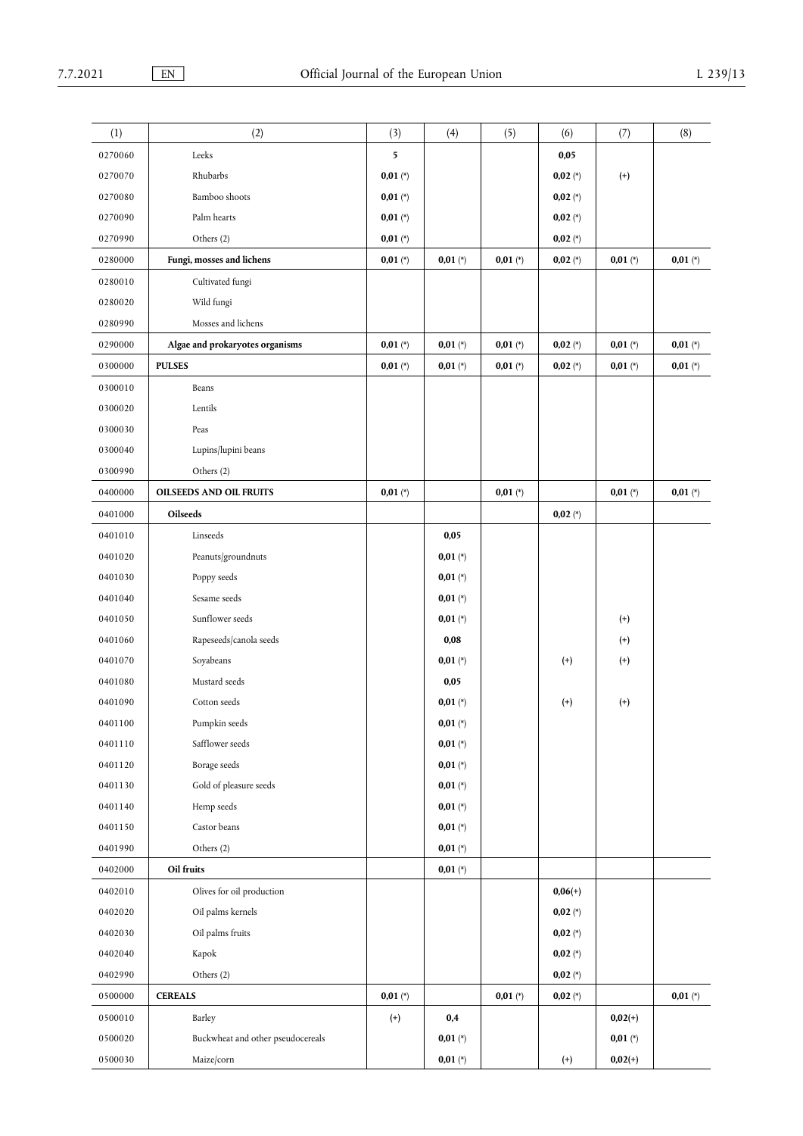| (1)     | (2)                               | (3)        | (4)        | (5)        | (6)        | (7)        | (8)        |
|---------|-----------------------------------|------------|------------|------------|------------|------------|------------|
| 0270060 | Leeks                             | 5          |            |            | 0,05       |            |            |
| 0270070 | Rhubarbs                          | $0,01 (*)$ |            |            | $0,02 (*)$ | $^{(+)}$   |            |
| 0270080 | Bamboo shoots                     | $0,01 (*)$ |            |            | $0,02 (*)$ |            |            |
| 0270090 | Palm hearts                       | $0,01 (*)$ |            |            | $0,02 (*)$ |            |            |
| 0270990 | Others (2)                        | $0,01 (*)$ |            |            | $0,02 (*)$ |            |            |
| 0280000 | Fungi, mosses and lichens         | $0,01 (*)$ | $0,01 (*)$ | $0,01 (*)$ | $0,02 (*)$ | $0,01 (*)$ | $0,01 (*)$ |
| 0280010 | Cultivated fungi                  |            |            |            |            |            |            |
| 0280020 | Wild fungi                        |            |            |            |            |            |            |
| 0280990 | Mosses and lichens                |            |            |            |            |            |            |
| 0290000 | Algae and prokaryotes organisms   | $0,01 (*)$ | $0,01 (*)$ | $0,01 (*)$ | $0,02 (*)$ | $0,01 (*)$ | $0,01 (*)$ |
| 0300000 | <b>PULSES</b>                     | $0,01 (*)$ | $0,01 (*)$ | $0,01 (*)$ | $0,02 (*)$ | $0,01 (*)$ | $0,01 (*)$ |
| 0300010 | Beans                             |            |            |            |            |            |            |
|         |                                   |            |            |            |            |            |            |
| 0300020 | Lentils                           |            |            |            |            |            |            |
| 0300030 | Peas                              |            |            |            |            |            |            |
| 0300040 | Lupins/lupini beans               |            |            |            |            |            |            |
| 0300990 | Others (2)                        |            |            |            |            |            |            |
| 0400000 | <b>OILSEEDS AND OIL FRUITS</b>    | $0,01 (*)$ |            | $0,01 (*)$ |            | $0,01 (*)$ | $0,01 (*)$ |
| 0401000 | Oilseeds                          |            |            |            | $0,02 (*)$ |            |            |
| 0401010 | Linseeds                          |            | 0,05       |            |            |            |            |
| 0401020 | Peanuts/groundnuts                |            | $0,01 (*)$ |            |            |            |            |
| 0401030 | Poppy seeds                       |            | $0,01 (*)$ |            |            |            |            |
| 0401040 | Sesame seeds                      |            | $0,01 (*)$ |            |            |            |            |
| 0401050 | Sunflower seeds                   |            | $0,01 (*)$ |            |            | $^{(+)}$   |            |
| 0401060 | Rapeseeds/canola seeds            |            | 0,08       |            |            | $^{(+)}$   |            |
| 0401070 | Soyabeans                         |            | $0,01 (*)$ |            | $^{(+)}$   | $^{(+)}$   |            |
| 0401080 | Mustard seeds                     |            | 0,05       |            |            |            |            |
| 0401090 | Cotton seeds                      |            | $0,01 (*)$ |            | $^{(+)}$   | $^{(+)}$   |            |
| 0401100 | Pumpkin seeds                     |            | $0,01 (*)$ |            |            |            |            |
| 0401110 | Safflower seeds                   |            | $0,01 (*)$ |            |            |            |            |
| 0401120 | Borage seeds                      |            | $0,01 (*)$ |            |            |            |            |
| 0401130 | Gold of pleasure seeds            |            | $0,01 (*)$ |            |            |            |            |
| 0401140 | Hemp seeds                        |            | $0,01 (*)$ |            |            |            |            |
| 0401150 | Castor beans                      |            | $0,01 (*)$ |            |            |            |            |
| 0401990 | Others (2)                        |            | $0,01 (*)$ |            |            |            |            |
| 0402000 | Oil fruits                        |            | $0,01 (*)$ |            |            |            |            |
| 0402010 | Olives for oil production         |            |            |            | $0,06(+)$  |            |            |
| 0402020 | Oil palms kernels                 |            |            |            | $0,02 (*)$ |            |            |
| 0402030 | Oil palms fruits                  |            |            |            | $0,02 (*)$ |            |            |
| 0402040 | Kapok                             |            |            |            | $0,02 (*)$ |            |            |
| 0402990 | Others (2)                        |            |            |            | $0,02 (*)$ |            |            |
| 0500000 | <b>CEREALS</b>                    | $0,01 (*)$ |            | $0,01 (*)$ | $0,02 (*)$ |            | $0,01 (*)$ |
| 0500010 | Barley                            | $^{(+)}$   | 0,4        |            |            | $0,02(+)$  |            |
| 0500020 | Buckwheat and other pseudocereals |            | $0,01 (*)$ |            |            | $0,01 (*)$ |            |
| 0500030 | Maize/corn                        |            | $0,01 (*)$ |            | $^{(+)}$   | $0,02(+)$  |            |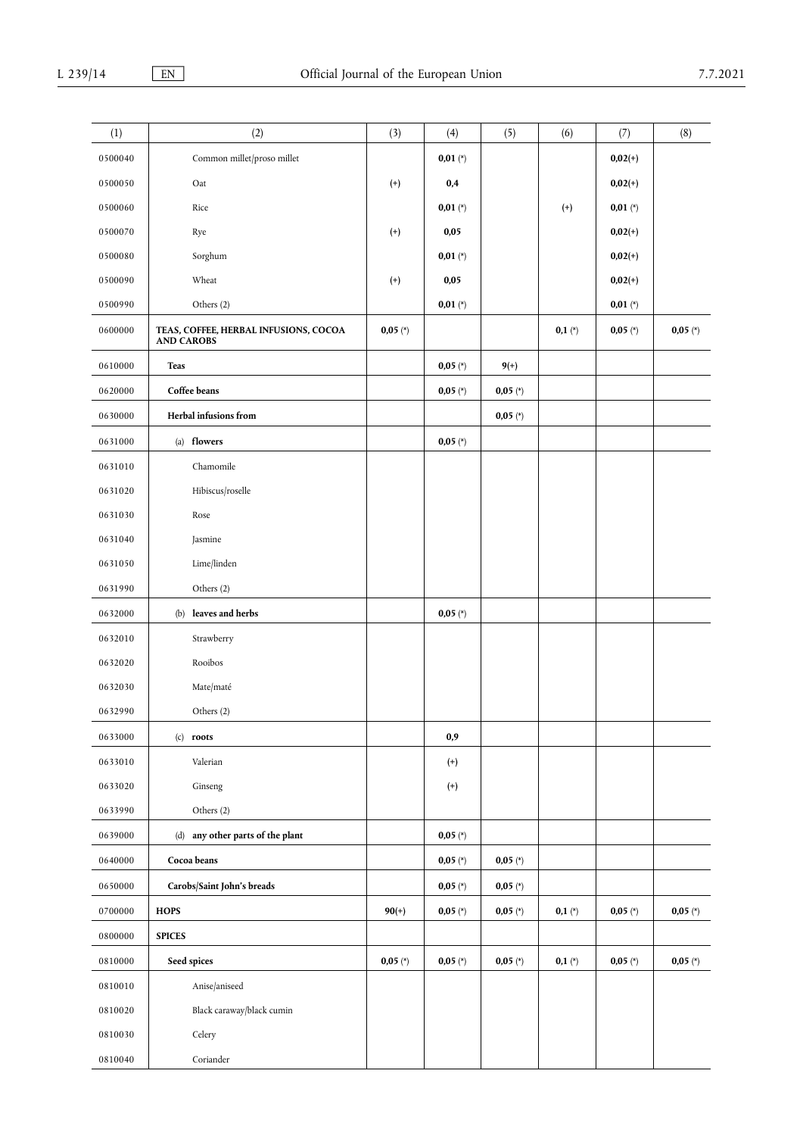| (1)     | (2)                                                        | (3)        | (4)        | (5)        | (6)      | (7)        | (8)        |
|---------|------------------------------------------------------------|------------|------------|------------|----------|------------|------------|
|         |                                                            |            |            |            |          |            |            |
| 0500040 | Common millet/proso millet                                 |            | $0,01 (*)$ |            |          | $0,02(+)$  |            |
| 0500050 | Oat                                                        | $^{(+)}$   | 0,4        |            |          | $0,02(+)$  |            |
| 0500060 | Rice                                                       |            | $0,01 (*)$ |            | $^{(+)}$ | $0,01 (*)$ |            |
| 0500070 | Rye                                                        | $^{(+)}$   | 0,05       |            |          | $0,02(+)$  |            |
| 0500080 | Sorghum                                                    |            | $0,01 (*)$ |            |          | $0,02(+)$  |            |
| 0500090 | Wheat                                                      | $^{(+)}$   | 0,05       |            |          | $0,02(+)$  |            |
| 0500990 | Others (2)                                                 |            | $0,01 (*)$ |            |          | $0,01 (*)$ |            |
| 0600000 | TEAS, COFFEE, HERBAL INFUSIONS, COCOA<br><b>AND CAROBS</b> | $0,05 (*)$ |            |            | $0,1(*)$ | $0,05 (*)$ | $0,05 (*)$ |
| 0610000 | Teas                                                       |            | $0,05 (*)$ | $9(+)$     |          |            |            |
| 0620000 | Coffee beans                                               |            | $0,05 (*)$ | $0,05 (*)$ |          |            |            |
| 0630000 | Herbal infusions from                                      |            |            | $0,05 (*)$ |          |            |            |
| 0631000 | (a) flowers                                                |            | $0,05 (*)$ |            |          |            |            |
| 0631010 | Chamomile                                                  |            |            |            |          |            |            |
| 0631020 | Hibiscus/roselle                                           |            |            |            |          |            |            |
| 0631030 | Rose                                                       |            |            |            |          |            |            |
| 0631040 | Jasmine                                                    |            |            |            |          |            |            |
| 0631050 | Lime/linden                                                |            |            |            |          |            |            |
| 0631990 | Others (2)                                                 |            |            |            |          |            |            |
| 0632000 | (b) leaves and herbs                                       |            | $0,05 (*)$ |            |          |            |            |
| 0632010 | Strawberry                                                 |            |            |            |          |            |            |
| 0632020 | Rooibos                                                    |            |            |            |          |            |            |
| 0632030 | Mate/maté                                                  |            |            |            |          |            |            |
| 0632990 | Others (2)                                                 |            |            |            |          |            |            |
| 0633000 | $(c)$ roots                                                |            | 0,9        |            |          |            |            |
| 0633010 | Valerian                                                   |            | $^{(+)}$   |            |          |            |            |
| 0633020 | Ginseng                                                    |            | $^{(+)}$   |            |          |            |            |
| 0633990 | Others (2)                                                 |            |            |            |          |            |            |
| 0639000 | (d) any other parts of the plant                           |            | $0,05 (*)$ |            |          |            |            |
| 0640000 | Cocoa beans                                                |            | $0,05 (*)$ | $0,05 (*)$ |          |            |            |
| 0650000 | Carobs/Saint John's breads                                 |            | $0,05 (*)$ | $0,05 (*)$ |          |            |            |
| 0700000 | <b>HOPS</b>                                                | $90(+)$    | $0,05 (*)$ | $0,05 (*)$ | $0,1(*)$ | $0,05 (*)$ | $0,05 (*)$ |
| 0800000 | <b>SPICES</b>                                              |            |            |            |          |            |            |
| 0810000 | Seed spices                                                | $0,05 (*)$ | $0,05 (*)$ | $0,05 (*)$ | $0,1(*)$ | $0,05 (*)$ | $0,05 (*)$ |
| 0810010 | Anise/aniseed                                              |            |            |            |          |            |            |
| 0810020 | Black caraway/black cumin                                  |            |            |            |          |            |            |
| 0810030 | Celery                                                     |            |            |            |          |            |            |
|         |                                                            |            |            |            |          |            |            |
| 0810040 | Coriander                                                  |            |            |            |          |            |            |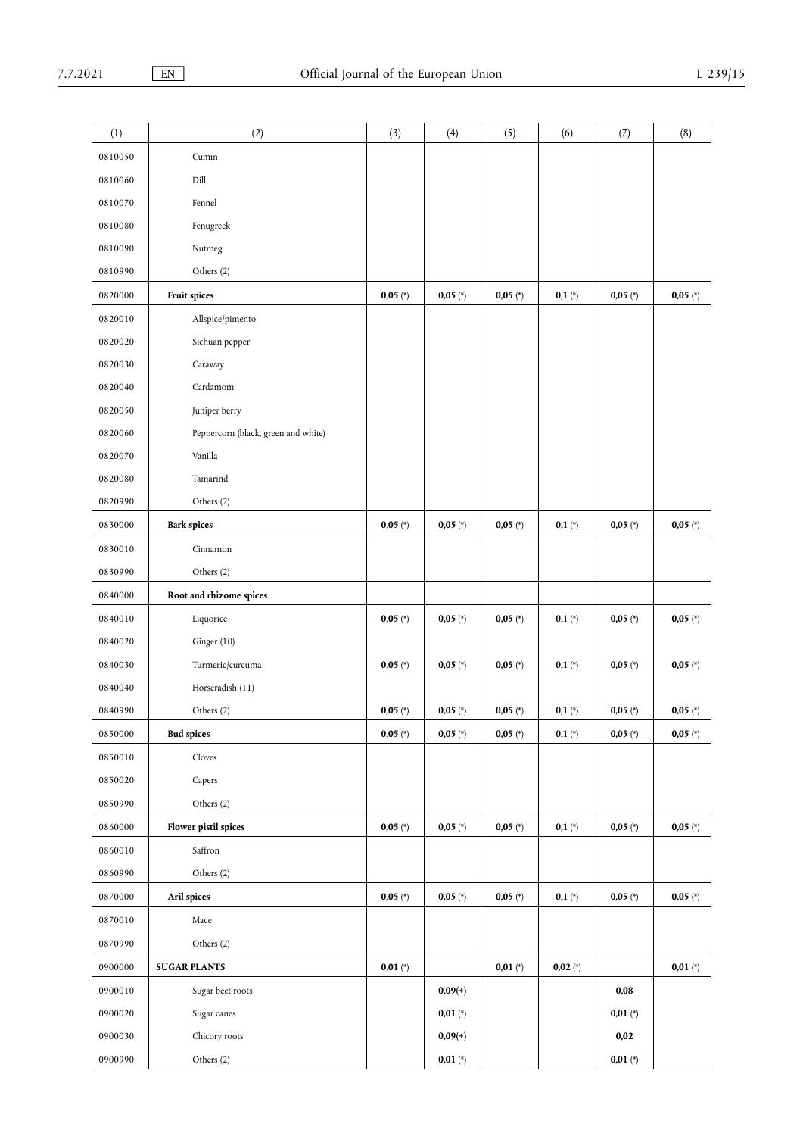| (1)     | (2)                                 | (3)        | (4)        | (5)        | (6)        | (7)        | (8)        |
|---------|-------------------------------------|------------|------------|------------|------------|------------|------------|
| 0810050 | Cumin                               |            |            |            |            |            |            |
| 0810060 | Dill                                |            |            |            |            |            |            |
| 0810070 | Fennel                              |            |            |            |            |            |            |
| 0810080 | Fenugreek                           |            |            |            |            |            |            |
| 0810090 | Nutmeg                              |            |            |            |            |            |            |
| 0810990 | Others (2)                          |            |            |            |            |            |            |
| 0820000 | Fruit spices                        | $0,05 (*)$ | $0,05 (*)$ | $0,05 (*)$ | $0,1(*)$   | $0,05 (*)$ | $0,05 (*)$ |
| 0820010 | Allspice/pimento                    |            |            |            |            |            |            |
| 0820020 | Sichuan pepper                      |            |            |            |            |            |            |
| 0820030 | Caraway                             |            |            |            |            |            |            |
| 0820040 | Cardamom                            |            |            |            |            |            |            |
| 0820050 | Juniper berry                       |            |            |            |            |            |            |
| 0820060 | Peppercorn (black, green and white) |            |            |            |            |            |            |
| 0820070 | Vanilla                             |            |            |            |            |            |            |
| 0820080 | Tamarind                            |            |            |            |            |            |            |
| 0820990 | Others (2)                          |            |            |            |            |            |            |
| 0830000 | <b>Bark spices</b>                  | $0,05 (*)$ | $0,05 (*)$ | $0,05 (*)$ | $0,1(*)$   | $0,05 (*)$ | $0,05 (*)$ |
| 0830010 | Cinnamon                            |            |            |            |            |            |            |
| 0830990 | Others (2)                          |            |            |            |            |            |            |
| 0840000 | Root and rhizome spices             |            |            |            |            |            |            |
| 0840010 | Liquorice                           | $0,05 (*)$ | $0,05 (*)$ | $0,05 (*)$ | $0,1(*)$   | $0,05 (*)$ | $0,05 (*)$ |
| 0840020 | Ginger (10)                         |            |            |            |            |            |            |
| 0840030 | Turmeric/curcuma                    | $0,05 (*)$ | $0,05 (*)$ | $0,05 (*)$ | $0,1(*)$   | $0,05 (*)$ | $0,05 (*)$ |
| 0840040 | Horseradish (11)                    |            |            |            |            |            |            |
| 0840990 | Others (2)                          | $0,05 (*)$ | $0,05 (*)$ | $0,05 (*)$ | $0,1(*)$   | $0,05 (*)$ | $0,05 (*)$ |
| 0850000 | <b>Bud spices</b>                   | $0,05 (*)$ | $0,05 (*)$ | $0,05 (*)$ | $0,1(*)$   | $0,05 (*)$ | $0,05 (*)$ |
| 0850010 | Cloves                              |            |            |            |            |            |            |
| 0850020 | Capers                              |            |            |            |            |            |            |
| 0850990 | Others (2)                          |            |            |            |            |            |            |
| 0860000 | Flower pistil spices                | $0,05 (*)$ | $0,05 (*)$ | $0,05 (*)$ | $0,1(*)$   | $0,05 (*)$ | $0,05 (*)$ |
| 0860010 | Saffron                             |            |            |            |            |            |            |
| 0860990 | Others (2)                          |            |            |            |            |            |            |
| 0870000 | Aril spices                         | $0,05 (*)$ | $0,05 (*)$ | $0,05 (*)$ | $0,1(*)$   | $0,05 (*)$ | $0,05 (*)$ |
| 0870010 | Mace                                |            |            |            |            |            |            |
| 0870990 | Others (2)                          |            |            |            |            |            |            |
| 0900000 | <b>SUGAR PLANTS</b>                 | $0,01 (*)$ |            | $0,01 (*)$ | $0,02 (*)$ |            | $0,01$ (*) |
| 0900010 | Sugar beet roots                    |            | $0,09(+)$  |            |            | 0,08       |            |
| 0900020 | Sugar canes                         |            | $0,01 (*)$ |            |            | $0,01 (*)$ |            |
| 0900030 | Chicory roots                       |            | $0,09(+)$  |            |            | 0,02       |            |
| 0900990 | Others (2)                          |            | $0,01 (*)$ |            |            | $0,01 (*)$ |            |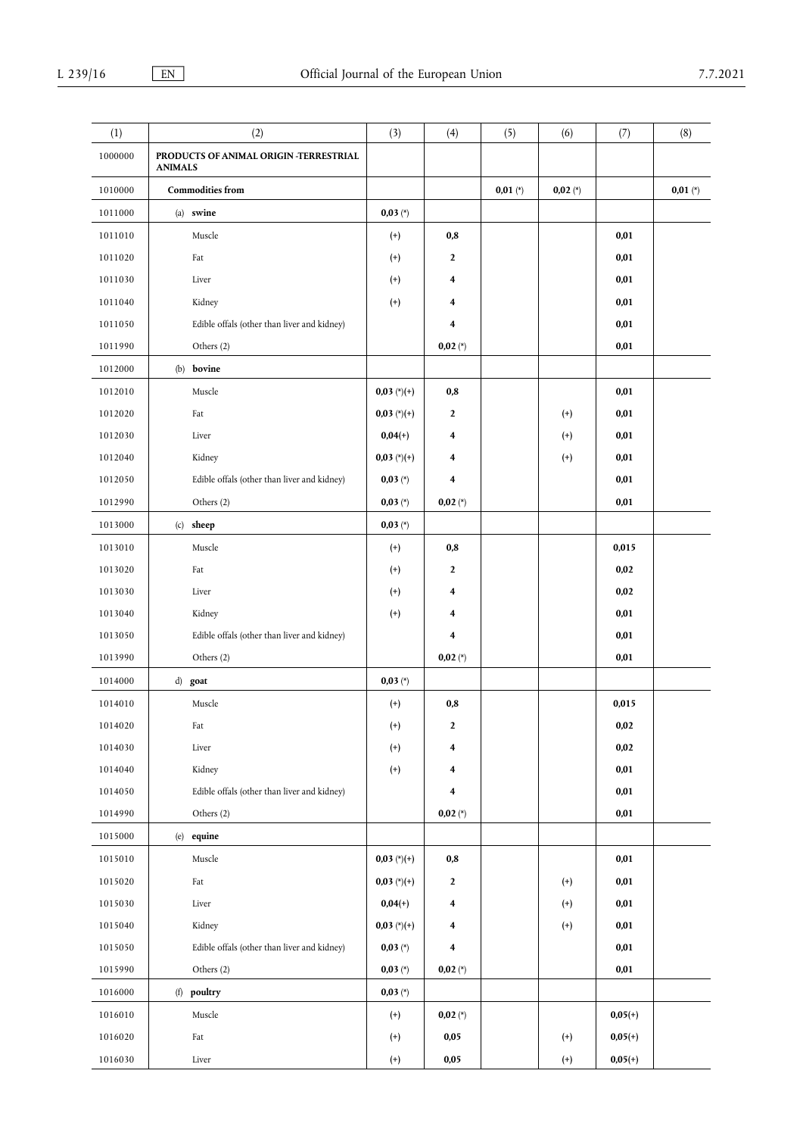| (1)     | (2)                                                      | (3)               | (4)            | (5)        | (6)        | (7)       | (8)        |
|---------|----------------------------------------------------------|-------------------|----------------|------------|------------|-----------|------------|
| 1000000 | PRODUCTS OF ANIMAL ORIGIN -TERRESTRIAL<br><b>ANIMALS</b> |                   |                |            |            |           |            |
| 1010000 | <b>Commodities from</b>                                  |                   |                | $0,01 (*)$ | $0,02 (*)$ |           | $0,01 (*)$ |
| 1011000 | (a) swine                                                | $0,03 (*)$        |                |            |            |           |            |
| 1011010 | Muscle                                                   | $^{(+)}$          | 0,8            |            |            | 0,01      |            |
| 1011020 | Fat                                                      | $^{(+)}$          | $\mathbf{2}$   |            |            | 0,01      |            |
| 1011030 | Liver                                                    | $^{(+)}$          | 4              |            |            | 0,01      |            |
| 1011040 | Kidney                                                   | $^{(+)}$          | 4              |            |            | 0,01      |            |
| 1011050 | Edible offals (other than liver and kidney)              |                   | 4              |            |            | 0,01      |            |
| 1011990 | Others (2)                                               |                   | $0,02 (*)$     |            |            | 0,01      |            |
| 1012000 | bovine<br>(b)                                            |                   |                |            |            |           |            |
| 1012010 | Muscle                                                   | $0,03 (*)$ (*)(+) | 0,8            |            |            | 0,01      |            |
| 1012020 | Fat                                                      | $0,03$ (*)(+)     | $\mathbf{2}$   |            | $^{(+)}$   | 0,01      |            |
| 1012030 | Liver                                                    | $0,04(+)$         | 4              |            | $^{(+)}$   | 0,01      |            |
| 1012040 | Kidney                                                   | $0,03$ (*)(+)     | 4              |            | $^{(+)}$   | 0,01      |            |
| 1012050 | Edible offals (other than liver and kidney)              | $0,03 (*)$        | 4              |            |            | 0,01      |            |
| 1012990 | Others (2)                                               | $0,03 (*)$        | $0,02 (*)$     |            |            | 0,01      |            |
| 1013000 | $(c)$ sheep                                              | $0,03 (*)$        |                |            |            |           |            |
| 1013010 | Muscle                                                   | $^{(+)}$          | 0,8            |            |            | 0,015     |            |
| 1013020 | Fat                                                      | $^{(+)}$          | $\mathbf{2}$   |            |            | 0,02      |            |
| 1013030 | Liver                                                    | $^{(+)}$          | 4              |            |            | 0,02      |            |
| 1013040 | Kidney                                                   | $^{(+)}$          | 4              |            |            | 0,01      |            |
| 1013050 | Edible offals (other than liver and kidney)              |                   | 4              |            |            | 0,01      |            |
| 1013990 | Others (2)                                               |                   | $0,02 (*)$     |            |            | 0,01      |            |
| 1014000 | d) goat                                                  | $0,03 (*)$        |                |            |            |           |            |
| 1014010 | Muscle                                                   | $^{(+)}$          | 0,8            |            |            | 0,015     |            |
| 1014020 | Fat                                                      | $^{(+)}$          | $\mathbf{2}$   |            |            | $0,\!02$  |            |
| 1014030 | Liver                                                    | $^{(+)}$          | 4              |            |            | 0,02      |            |
| 1014040 | Kidney                                                   | $^{(+)}$          | 4              |            |            | 0,01      |            |
| 1014050 | Edible offals (other than liver and kidney)              |                   | 4              |            |            | 0,01      |            |
| 1014990 | Others (2)                                               |                   | $0,02 (*)$     |            |            | 0,01      |            |
| 1015000 | (e) equine                                               |                   |                |            |            |           |            |
| 1015010 | Muscle                                                   | $0,03 (*)$ (*)(+) | 0,8            |            |            | 0,01      |            |
| 1015020 | Fat                                                      | $0,03 (*)$ (*)(+) | $\overline{2}$ |            | $^{(+)}$   | 0,01      |            |
| 1015030 | Liver                                                    | $0,04(+)$         | 4              |            | $^{(+)}$   | 0,01      |            |
| 1015040 | Kidney                                                   | $0,03$ (*)(+)     | 4              |            | $^{(+)}$   | 0,01      |            |
| 1015050 | Edible offals (other than liver and kidney)              | $0,03 (*)$        | 4              |            |            | 0,01      |            |
| 1015990 | Others (2)                                               | $0,03 (*)$        | $0,02 (*)$     |            |            | 0,01      |            |
| 1016000 | (f) poultry                                              | $0,03 (*)$        |                |            |            |           |            |
| 1016010 | Muscle                                                   | $^{(+)}$          | $0,02 (*)$     |            |            | $0,05(+)$ |            |
| 1016020 | Fat                                                      | $^{(+)}$          | 0,05           |            | $^{(+)}$   | $0,05(+)$ |            |
| 1016030 | Liver                                                    | $^{(+)}$          | $0,\!05$       |            | $^{(+)}$   | $0,05(+)$ |            |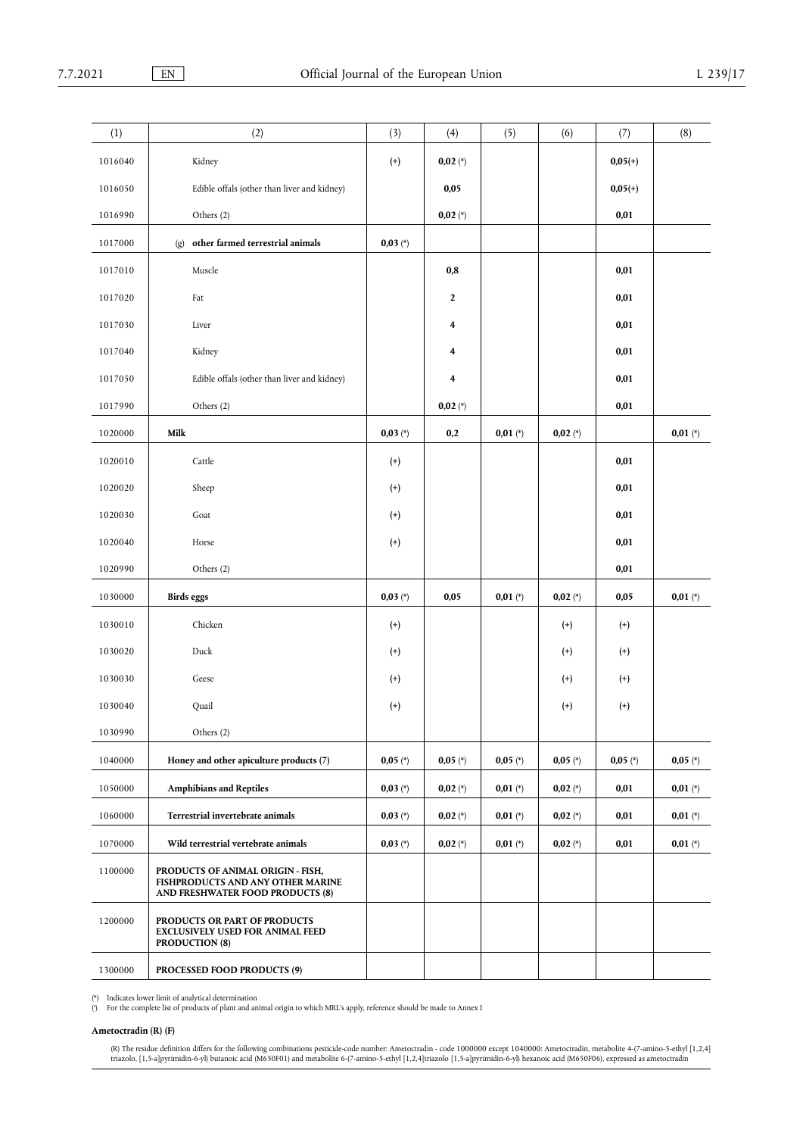| (1)     | (2)                                                                                                        | (3)        | (4)                     | (5)        | (6)        | (7)        | (8)        |
|---------|------------------------------------------------------------------------------------------------------------|------------|-------------------------|------------|------------|------------|------------|
| 1016040 | Kidney                                                                                                     | $^{(+)}$   | $0,02 (*)$              |            |            | $0,05(+)$  |            |
| 1016050 | Edible offals (other than liver and kidney)                                                                |            | 0,05                    |            |            | $0,05(+)$  |            |
| 1016990 | Others (2)                                                                                                 |            | $0,02 (*)$              |            |            | 0,01       |            |
| 1017000 | other farmed terrestrial animals<br>$\left( \text{g} \right)$                                              | $0,03 (*)$ |                         |            |            |            |            |
| 1017010 | Muscle                                                                                                     |            | $0,\!8$                 |            |            | 0,01       |            |
| 1017020 | Fat                                                                                                        |            | $\mathbf{2}$            |            |            | 0,01       |            |
| 1017030 | Liver                                                                                                      |            | 4                       |            |            | 0,01       |            |
| 1017040 | Kidney                                                                                                     |            | $\overline{\mathbf{4}}$ |            |            | 0,01       |            |
| 1017050 | Edible offals (other than liver and kidney)                                                                |            | $\overline{\mathbf{4}}$ |            |            | 0,01       |            |
| 1017990 | Others (2)                                                                                                 |            | $0,02 (*)$              |            |            | 0,01       |            |
| 1020000 | Milk                                                                                                       | $0,03 (*)$ | 0,2                     | $0,01 (*)$ | $0,02 (*)$ |            | $0,01 (*)$ |
| 1020010 | Cattle                                                                                                     | $^{(+)}$   |                         |            |            | 0,01       |            |
| 1020020 | Sheep                                                                                                      | $^{(+)}$   |                         |            |            | 0,01       |            |
| 1020030 | Goat                                                                                                       | $^{(+)}$   |                         |            |            | 0,01       |            |
| 1020040 | Horse                                                                                                      | $^{(+)}$   |                         |            |            | 0,01       |            |
| 1020990 | Others (2)                                                                                                 |            |                         |            |            | 0,01       |            |
| 1030000 | <b>Birds</b> eggs                                                                                          | $0,03 (*)$ | 0,05                    | $0,01 (*)$ | $0,02 (*)$ | 0,05       | $0,01 (*)$ |
| 1030010 | Chicken                                                                                                    | $^{(+)}$   |                         |            | $^{(+)}$   | $^{(+)}$   |            |
| 1030020 | Duck                                                                                                       | $^{(+)}$   |                         |            | $^{(+)}$   | $^{(+)}$   |            |
| 1030030 | Geese                                                                                                      | $^{(+)}$   |                         |            | $^{(+)}$   | $^{(+)}$   |            |
| 1030040 | Quail                                                                                                      | $^{(+)}$   |                         |            | $^{(+)}$   | $^{(+)}$   |            |
| 1030990 | Others (2)                                                                                                 |            |                         |            |            |            |            |
| 1040000 | Honey and other apiculture products (7)                                                                    | $0,05 (*)$ | $0,05 (*)$              | $0,05 (*)$ | $0,05 (*)$ | $0,05 (*)$ | $0,05 (*)$ |
| 1050000 | <b>Amphibians and Reptiles</b>                                                                             | $0,03 (*)$ | $0,02 (*)$              | $0,01 (*)$ | $0,02 (*)$ | 0,01       | $0,01 (*)$ |
| 1060000 | Terrestrial invertebrate animals                                                                           | $0,03 (*)$ | $0,02 (*)$              | $0,01 (*)$ | $0,02 (*)$ | 0,01       | $0,01 (*)$ |
| 1070000 | Wild terrestrial vertebrate animals                                                                        | $0,03 (*)$ | $0,02 (*)$              | $0,01 (*)$ | $0,02 (*)$ | 0,01       | $0,01$ (*) |
| 1100000 | PRODUCTS OF ANIMAL ORIGIN - FISH,<br>FISHPRODUCTS AND ANY OTHER MARINE<br>AND FRESHWATER FOOD PRODUCTS (8) |            |                         |            |            |            |            |
| 1200000 | PRODUCTS OR PART OF PRODUCTS<br><b>EXCLUSIVELY USED FOR ANIMAL FEED</b><br><b>PRODUCTION (8)</b>           |            |                         |            |            |            |            |
| 1300000 | PROCESSED FOOD PRODUCTS (9)                                                                                |            |                         |            |            |            |            |

<span id="page-13-0"></span>

<span id="page-13-1"></span>[\(\\*\)](#page-4-0) Indicates lower limit of analytical determination<br>[\(](#page-4-1)\*) For the complete list of products of plant and animal origin to which MRL's apply, reference should be made to Annex I

## **Ametoctradin (R) (F)**

(R) The residue definition differs for the following combinations pesticide-code number: Ametoctradin - code 1000000 except 1040000: Ametoctradin, metabolite 4-(7-amino-5-ethyl [1,2,4] per ancel (M650F06), expressed as ame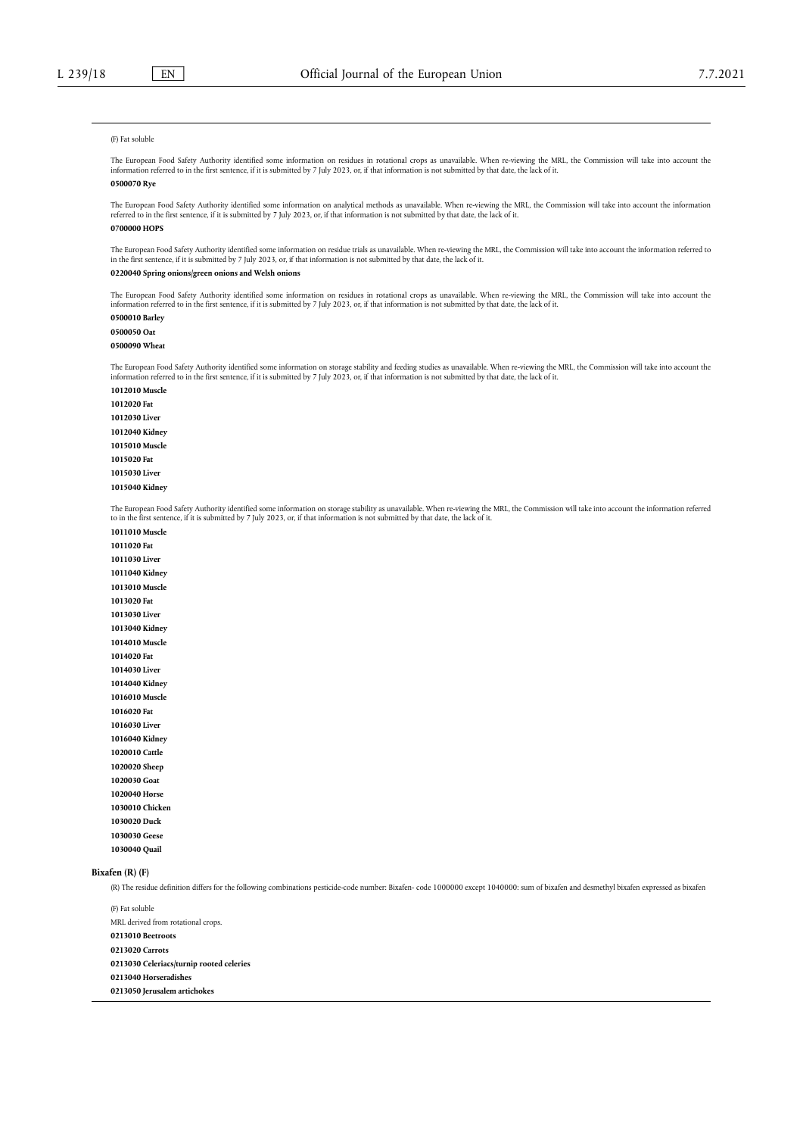#### (F) Fat soluble

The European Food Safety Authority identified some information on residues in rotational crops as unavailable. When re-viewing the MRL, the Commission will take into account the<br>information referred to in the first sentenc **0500070 Rye**

The European Food Safety Authority identified some information on analytical methods as unavailable. When re-viewing the MRL, the Commission will take into account the information referred to in the first sentence, if it is submitted by 7 July 2023, or, if that information is not submitted by that date, the lack of it.

### **0700000 HOPS**

The European Food Safety Authority identified some information on residue trials as unavailable. When re-viewing the MRL, the Commission will take into account the information referred to in the first sentence, if it is submitted by 7 July 2023, or, if that information is not submitted by that date, the lack of it.

### **0220040 Spring onions/green onions and Welsh onions**

The European Food Safety Authority identified some information on residues in rotational crops as unavailable. When re-viewing the MRL, the Commission will take into account the information referred to in the first sentence, if it is submitted by 7 July 2023, or, if that information is not submitted by that date, the lack of it.

**0500010 Barley**

## **0500050 Oat**

**0500090 Wheat**

The European Food Safety Authority identified some information on storage stability and feeding studies as unavailable. When re-viewing the MRL, the Commission will take into account the<br>information referred to in the firs

**1012010 Muscle 1012020 Fat 1012030 Liver 1012040 Kidney 1015010 Muscle 1015020 Fat 1015030 Liver 1015040 Kidney**

The European Food Safety Authority identified some information on storage stability as unavailable. When re-viewing the MRL, the Commission will take into account the information referred<br>to in the first sentence, if it is

**1011010 Muscle 1011020 Fat 1011030 Liver 1011040 Kidney 1013010 Muscle 1013020 Fat 1013030 Liver 1013040 Kidney 1014010 Muscle 1014020 Fat 1014030 Liver 1014040 Kidney 1016010 Muscle 1016020 Fat 1016030 Liver 1016040 Kidney 1020010 Cattle 1020020 Sheep 1020030 Goat 1020040 Horse 1030010 Chicken 1030020 Duck 1030030 Geese 1030040 Quail**

#### **Bixafen (R) (F)**

(R) The residue definition differs for the following combinations pesticide-code number: Bixafen- code 1000000 except 1040000: sum of bixafen and desmethyl bixafen expressed as bixafen

(F) Fat soluble MRL derived from rotational crops. **0213010 Beetroots 0213020 Carrots 0213030 Celeriacs/turnip rooted celeries 0213040 Horseradishes 0213050 Jerusalem artichokes**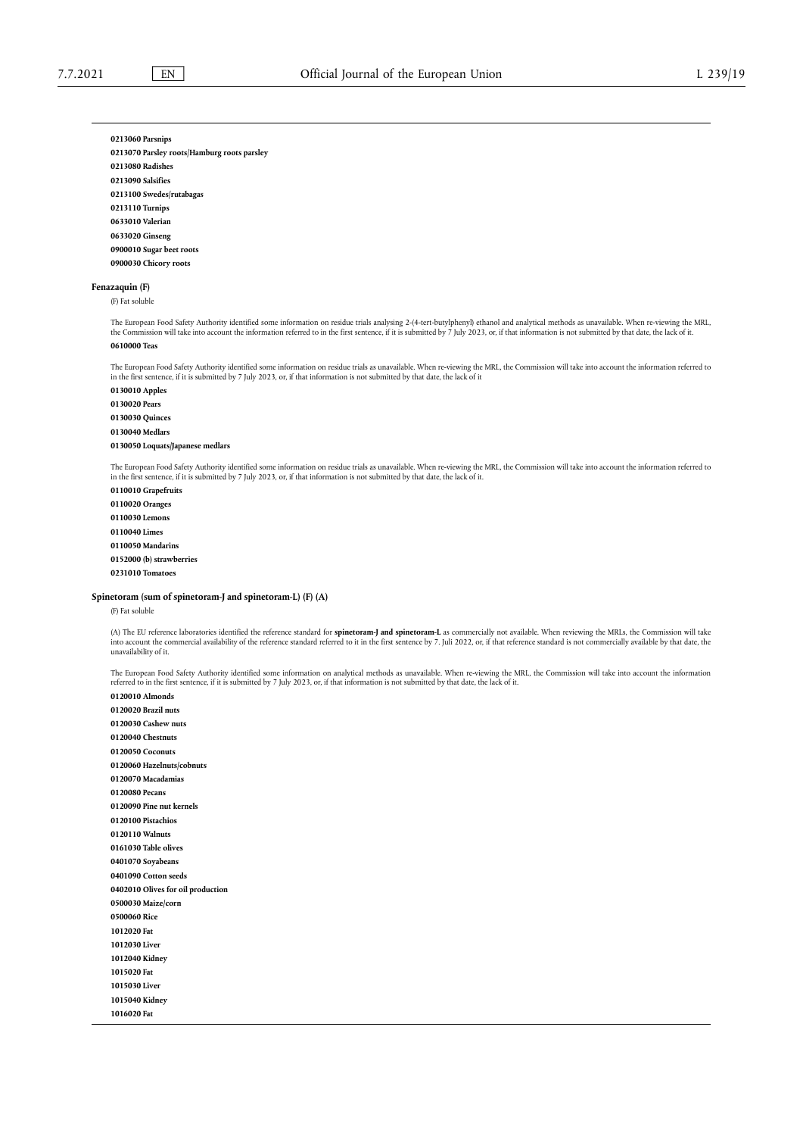#### **0213060 Parsnips**

**0213070 Parsley roots/Hamburg roots parsley 0213080 Radishes 0213090 Salsifies 0213100 Swedes/rutabagas 0213110 Turnips 0633010 Valerian 0633020 Ginseng 0900010 Sugar beet roots 0900030 Chicory roots**

### **Fenazaquin (F)**

(F) Fat soluble

The European Food Safety Authority identified some information on residue trials analysing 2-(4-tert-butylphenyl) ethanol and analytical methods as unavailable. When re-viewing the MRL,<br>the Commission will take into accoun

## **0610000 Teas**

The European Food Safety Authority identified some information on residue trials as unavailable. When re-viewing the MRL, the Commission will take into account the information referred to in the first sentence, if it is submitted by 7 July 2023, or, if that information is not submitted by that date, the lack of it

**0130010 Apples 0130020 Pears 0130030 Quinces 0130040 Medlars 0130050 Loquats/Japanese medlars**

The European Food Safety Authority identified some information on residue trials as unavailable. When re-viewing the MRL, the Commission will take into account the information referred to<br>in the first sentence, if it is su

**0110010 Grapefruits 0110020 Oranges 0110030 Lemons 0110040 Limes 0110050 Mandarins 0152000 (b) strawberries 0231010 Tomatoes**

### **Spinetoram (sum of spinetoram-J and spinetoram-L) (F) (A)**

(F) Fat soluble

(A) The EU reference laboratories identified the reference standard for **spinetoram-J and spinetoram-L** as commercially not available. When reviewing the MRLs, the Commission will take into account the commercial availability of the reference standard referred to it in the first sentence by 7. Juli 2022, or, if that reference standard is not commercially available by that date, the unavailability of it.

The European Food Safety Authority identified some information on analytical methods as unavailable. When re-viewing the MRL, the Commission will take into account the information referred to in the first sentence, if it is submitted by 7 July 2023, or, if that information is not submitted by that date, the lack of it.

**0120010 Almonds 0120020 Brazil nuts 0120030 Cashew nuts 0120040 Chestnuts 0120050 Coconuts 0120060 Hazelnuts/cobnuts 0120070 Macadamias 0120080 Pecans 0120090 Pine nut kernels 0120100 Pistachios 0120110 Walnuts 0161030 Table olives 0401070 Soyabeans 0401090 Cotton seeds 0402010 Olives for oil production 0500030 Maize/corn 0500060 Rice 1012020 Fat 1012030 Liver 1012040 Kidney 1015020 Fat 1015030 Liver 1015040 Kidney 1016020 Fat**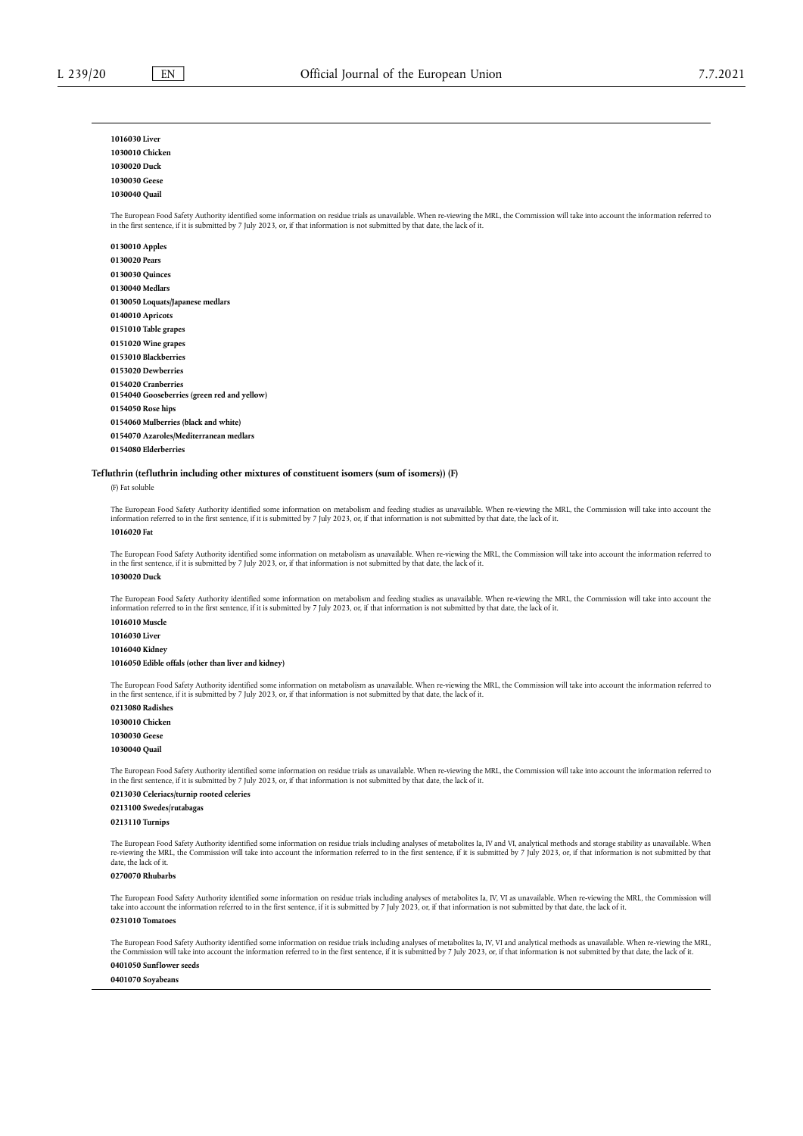**1016030 Liver**

## **1030010 Chicken 1030020 Duck 1030030 Geese 1030040 Quail** The European Food Safety Authority identified some information on residue trials as unavailable. When re-viewing the MRL, the Commission will take into account the information referred to in the first sentence, if it is submitted by 7 July 2023, or, if that information is not submitted by that date, the lack of it. **0130010 Apples 0130020 Pears 0130030 Quinces 0130040 Medlars 0130050 Loquats/Japanese medlars 0140010 Apricots 0151010 Table grapes 0151020 Wine grapes 0153010 Blackberries 0153020 Dewberries 0154020 Cranberries 0154040 Gooseberries (green red and yellow) 0154050 Rose hips 0154060 Mulberries (black and white) 0154070 Azaroles/Mediterranean medlars**

**0154080 Elderberries**

#### **Tefluthrin (tefluthrin including other mixtures of constituent isomers (sum of isomers)) (F)**

(F) Fat soluble

The European Food Safety Authority identified some information on metabolism and feeding studies as unavailable. When re-viewing the MRL, the Commission will take into account the information referred to in the first sentence, if it is submitted by 7 July 2023, or, if that information is not submitted by that date, the lack of it.

#### **1016020 Fat**

The European Food Safety Authority identified some information on metabolism as unavailable. When re-viewing the MRL, the Commission will take into account the information referred to in the first sentence, if it is submitted by 7 July 2023, or, if that information is not submitted by that date, the lack of it. **1030020 Duck**

The European Food Safety Authority identified some information on metabolism and feeding studies as unavailable. When re-viewing the MRL, the Commission will take into account the information referred to in the first sentence, if it is submitted by 7 July 2023, or, if that information is not submitted by that date, the lack of it.

**1016010 Muscle 1016030 Liver 1016040 Kidney**

### **1016050 Edible offals (other than liver and kidney)**

The European Food Safety Authority identified some information on metabolism as unavailable. When re-viewing the MRL, the Commission will take into account the information referred to<br>in the first sentence, if it is submit

**0213080 Radishes 1030010 Chicken 1030030 Geese 1030040 Quail**

The European Food Safety Authority identified some information on residue trials as unavailable. When re-viewing the MRL, the Commission will take into account the information referred to<br>in the first sentence, if it is su

#### **0213030 Celeriacs/turnip rooted celeries 0213100 Swedes/rutabagas**

**0213110 Turnips**

The European Food Safety Authority identified some information on residue trials including analyses of metabolites Ia, IV and VI, analytical methods and storage stability as unavailable. When<br>re-viewing the MRL, the Commis date, the lack of it.

### **0270070 Rhubarbs**

The European Food Safety Authority identified some information on residue trials including analyses of metabolites Ia, IV, VI as unavailable. When re-viewing the MRL, the Commission will take into account the information referred to in the first sentence, if it is submitted by 7 July 2023, or, if that information is not submitted by that date, the lack of it. **0231010 Tomatoes**

The European Food Safety Authority identified some information on residue trials including analyses of metabolites Ia, IV, VI and analytical methods as unavailable. When re-viewing the MRL, the Commission will take into account the information referred to in the first sentence, if it is submitted by 7 July 2023, or, if that information is not submitted by that date, the lack of it. **0401050 Sunflower seeds**

**0401070 Soyabeans**